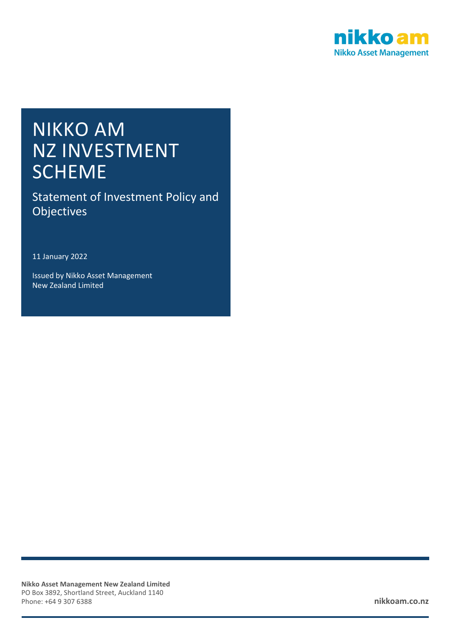

# NIKKO AM NZ INVESTMENT **SCHEME**

Statement of Investment Policy and Objectives

11 January 2022

Issued by Nikko Asset Management New Zealand Limited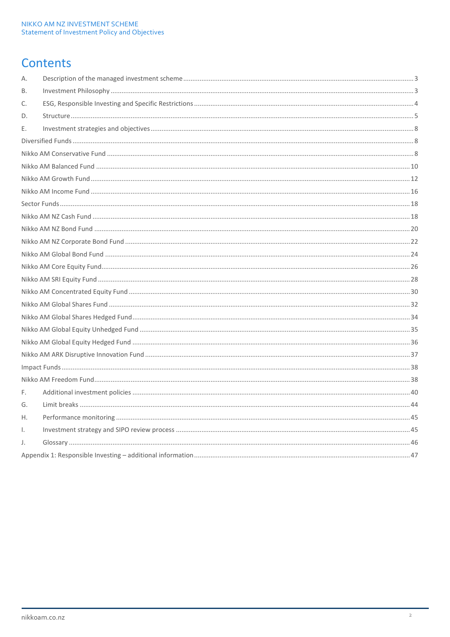# Contents

| Α. |  |
|----|--|
| В. |  |
| C. |  |
| D. |  |
| Е. |  |
|    |  |
|    |  |
|    |  |
|    |  |
|    |  |
|    |  |
|    |  |
|    |  |
|    |  |
|    |  |
|    |  |
|    |  |
|    |  |
|    |  |
|    |  |
|    |  |
|    |  |
|    |  |
|    |  |
|    |  |
| F. |  |
| G. |  |
| Η. |  |
| Ι. |  |
| J. |  |
|    |  |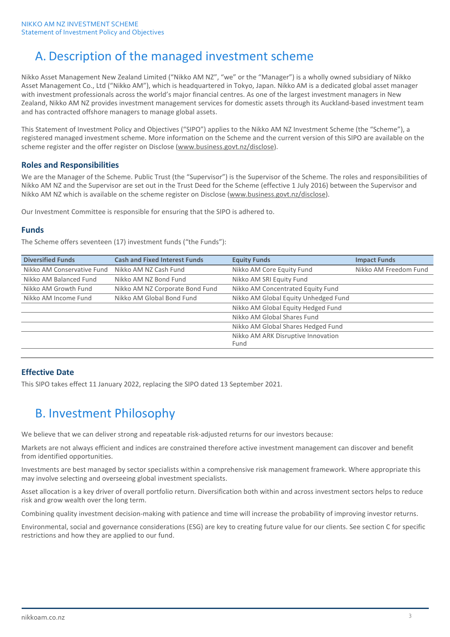# A. Description of the managed investment scheme

Nikko Asset Management New Zealand Limited ("Nikko AM NZ", "we" or the "Manager") is a wholly owned subsidiary of Nikko Asset Management Co., Ltd ("Nikko AM"), which is headquartered in Tokyo, Japan. Nikko AM is a dedicated global asset manager with investment professionals across the world's major financial centres. As one of the largest investment managers in New Zealand, Nikko AM NZ provides investment management services for domestic assets through its Auckland-based investment team and has contracted offshore managers to manage global assets.

This Statement of Investment Policy and Objectives ("SIPO") applies to the Nikko AM NZ Investment Scheme (the "Scheme"), a registered managed investment scheme. More information on the Scheme and the current version of this SIPO are available on the scheme register and the offer register on Disclose [\(www.business.govt.nz/disclose\)](http://www.business.govt.nz/disclose).

## **Roles and Responsibilities**

We are the Manager of the Scheme. Public Trust (the "Supervisor") is the Supervisor of the Scheme. The roles and responsibilities of Nikko AM NZ and the Supervisor are set out in the Trust Deed for the Scheme (effective 1 July 2016) between the Supervisor and Nikko AM NZ which is available on the scheme register on Disclose [\(www.business.govt.nz/disclose\)](http://www.business.govt.nz/disclose).

Our Investment Committee is responsible for ensuring that the SIPO is adhered to.

## **Funds**

The Scheme offers seventeen (17) investment funds ("the Funds"):

| <b>Diversified Funds</b>   | <b>Cash and Fixed Interest Funds</b> | <b>Equity Funds</b>                  | <b>Impact Funds</b>   |
|----------------------------|--------------------------------------|--------------------------------------|-----------------------|
| Nikko AM Conservative Fund | Nikko AM NZ Cash Fund                | Nikko AM Core Equity Fund            | Nikko AM Freedom Fund |
| Nikko AM Balanced Fund     | Nikko AM NZ Bond Fund                | Nikko AM SRI Equity Fund             |                       |
| Nikko AM Growth Fund       | Nikko AM NZ Corporate Bond Fund      | Nikko AM Concentrated Equity Fund    |                       |
| Nikko AM Income Fund       | Nikko AM Global Bond Fund            | Nikko AM Global Equity Unhedged Fund |                       |
|                            |                                      | Nikko AM Global Equity Hedged Fund   |                       |
|                            |                                      | Nikko AM Global Shares Fund          |                       |
|                            |                                      | Nikko AM Global Shares Hedged Fund   |                       |
|                            |                                      | Nikko AM ARK Disruptive Innovation   |                       |
|                            |                                      | Fund                                 |                       |
|                            |                                      |                                      |                       |

## **Effective Date**

This SIPO takes effect 11 January 2022, replacing the SIPO dated 13 September 2021.

# B. Investment Philosophy

We believe that we can deliver strong and repeatable risk-adjusted returns for our investors because:

Markets are not always efficient and indices are constrained therefore active investment management can discover and benefit from identified opportunities.

Investments are best managed by sector specialists within a comprehensive risk management framework. Where appropriate this may involve selecting and overseeing global investment specialists.

Asset allocation is a key driver of overall portfolio return. Diversification both within and across investment sectors helps to reduce risk and grow wealth over the long term.

Combining quality investment decision-making with patience and time will increase the probability of improving investor returns.

Environmental, social and governance considerations (ESG) are key to creating future value for our clients. See section C for specific restrictions and how they are applied to our fund.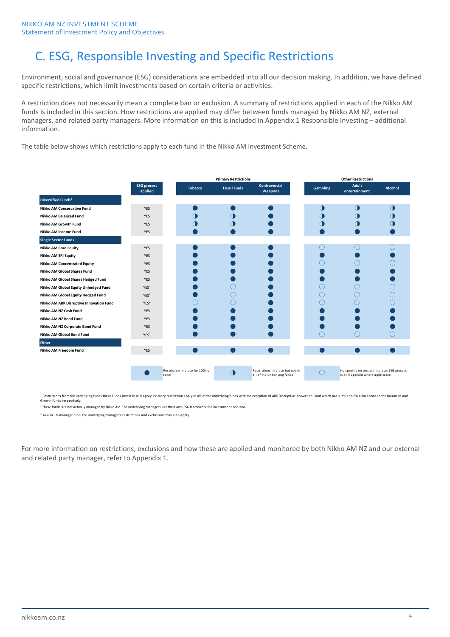# C. ESG, Responsible Investing and Specific Restrictions

Environment, social and governance (ESG) considerations are embedded into all our decision making. In addition, we have defined specific restrictions, which limit investments based on certain criteria or activities.

A restriction does not necessarily mean a complete ban or exclusion. A summary of restrictions applied in each of the Nikko AM funds is included in this section. How restrictions are applied may differ between funds managed by Nikko AM NZ, external managers, and related party managers. More information on this is included in Appendix 1 Responsible Investing – additional information.

The table below shows which restrictions apply to each fund in the Nikko AM Investment Scheme.

|                                         |                               |      |                                  | <b>Primary Restrictions</b> |                                                                  |            | <b>Other Restrictions</b>                                                          |                |
|-----------------------------------------|-------------------------------|------|----------------------------------|-----------------------------|------------------------------------------------------------------|------------|------------------------------------------------------------------------------------|----------------|
|                                         | <b>ESG process</b><br>applied |      | <b>Tobacco</b>                   | <b>Fossil Fuels</b>         | <b>Controversial</b><br>Weapons                                  | Gambling   | Adult<br>entertainment                                                             | <b>Alcohol</b> |
| <b>Diversified Funds</b> <sup>1</sup>   |                               |      |                                  |                             |                                                                  |            |                                                                                    |                |
| <b>Nikko AM Conservative Fund</b>       | <b>YES</b>                    |      |                                  |                             |                                                                  | $\bigcirc$ | ∩                                                                                  | $\Box$         |
| Nikko AM Balanced Fund                  | <b>YES</b>                    |      | Œ                                |                             |                                                                  |            |                                                                                    |                |
| Nikko AM Growth Fund                    | <b>YES</b>                    |      | Œ                                |                             |                                                                  |            |                                                                                    |                |
| Nikko AM Income Fund                    | <b>YES</b>                    |      |                                  |                             |                                                                  |            |                                                                                    |                |
| <b>Single Sector Funds</b>              |                               |      |                                  |                             |                                                                  |            |                                                                                    |                |
| <b>Nikko AM Core Equity</b>             | <b>YES</b>                    |      |                                  |                             |                                                                  |            |                                                                                    |                |
| <b>Nikko AM SRI Equity</b>              | <b>YES</b>                    |      |                                  |                             |                                                                  |            |                                                                                    |                |
| <b>Nikko AM Concentrated Equity</b>     | <b>YES</b>                    |      |                                  |                             |                                                                  |            |                                                                                    |                |
| Nikko AM Global Shares Fund             | <b>YES</b>                    |      |                                  |                             |                                                                  |            |                                                                                    |                |
| Nikko AM Global Shares Hedged Fund      | <b>YES</b>                    |      |                                  |                             |                                                                  |            |                                                                                    |                |
| Nikko AM Global Equity Unhedged Fund    | YES <sup>3</sup>              |      |                                  |                             |                                                                  |            |                                                                                    |                |
| Nikko AM Global Equity Hedged Fund      | YES <sup>3</sup>              |      |                                  |                             |                                                                  |            |                                                                                    |                |
| Nikko AM ARK Disruptive Innovation Fund | YES <sup>2</sup>              |      |                                  |                             |                                                                  |            |                                                                                    |                |
| Nikko AM NZ Cash Fund                   | <b>YES</b>                    |      |                                  |                             |                                                                  |            |                                                                                    |                |
| Nikko AM NZ Bond Fund                   | <b>YES</b>                    |      |                                  |                             |                                                                  |            |                                                                                    |                |
| Nikko AM NZ Corporate Bond Fund         | YES                           |      |                                  |                             |                                                                  |            |                                                                                    |                |
| Nikko AM Global Bond Fund               | YES <sup>2</sup>              |      |                                  |                             |                                                                  |            |                                                                                    |                |
| Other                                   |                               |      |                                  |                             |                                                                  |            |                                                                                    |                |
| Nikko AM Freedom Fund                   | <b>YES</b>                    |      |                                  |                             |                                                                  |            |                                                                                    |                |
|                                         |                               |      |                                  |                             |                                                                  |            |                                                                                    |                |
|                                         |                               | Fund | Restriction in place for 100% of | $\bigcirc$                  | Restrictions in place but not in<br>all of the underlying funds. |            | No specific restriction in place. ESG process<br>is still applied where applicable |                |

 $^2$  These funds are not actively managed by Nikko AM. The underlying managers use their own ESG framework for investment decisions. <sup>1</sup> Restrictions from the underlying funds these Funds invest in will apply. Primary restriction apply to all of the underlying funds with the exception of ARK Disruptive Innovation Fund which has a 3% and 6% allocations i Growth funds respectively.

<sup>3</sup> As a multi-manager fund, the underlying manager's restrictions and exclusions may also apply

For more information on restrictions, exclusions and how these are applied and monitored by both Nikko AM NZ and our external and related party manager, refer to Appendix 1.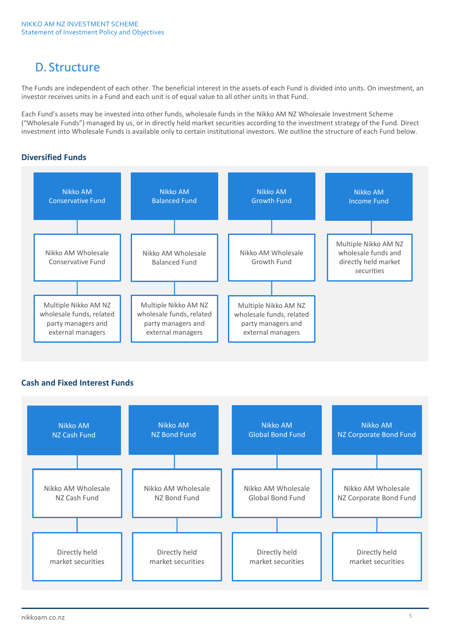# D. Structure

The Funds are independent of each other. The beneficial interest in the assets of each Fund is divided into units. On investment, an investor receives units in a Fund and each unit is of equal value to all other units in that Fund.

Each Fund's assets may be invested into other funds, wholesale funds in the Nikko AM NZ Wholesale Investment Scheme ("Wholesale Funds") managed by us, or in directly held market securities according to the investment strategy of the Fund. Direct investment into Wholesale Funds is available only to certain institutional investors. We outline the structure of each Fund below.

## **Diversified Funds**



## **Cash and Fixed Interest Funds**

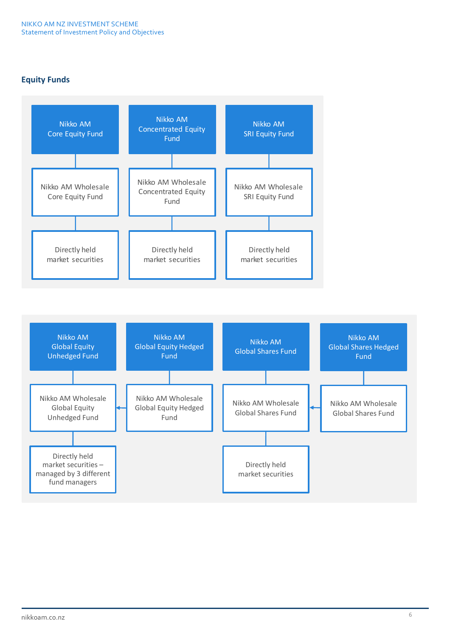## **Equity Funds**



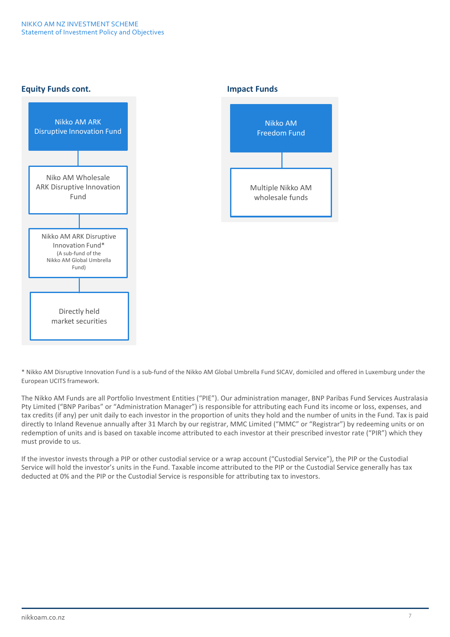## **Equity Funds cont. Impact Funds**





\* Nikko AM Disruptive Innovation Fund is a sub-fund of the Nikko AM Global Umbrella Fund SICAV, domiciled and offered in Luxemburg under the European UCITS framework.

The Nikko AM Funds are all Portfolio Investment Entities ("PIE"). Our administration manager, BNP Paribas Fund Services Australasia Pty Limited ("BNP Paribas" or "Administration Manager") is responsible for attributing each Fund its income or loss, expenses, and tax credits (if any) per unit daily to each investor in the proportion of units they hold and the number of units in the Fund. Tax is paid directly to Inland Revenue annually after 31 March by our registrar, MMC Limited ("MMC" or "Registrar") by redeeming units or on redemption of units and is based on taxable income attributed to each investor at their prescribed investor rate ("PIR") which they must provide to us.

If the investor invests through a PIP or other custodial service or a wrap account ("Custodial Service"), the PIP or the Custodial Service will hold the investor's units in the Fund. Taxable income attributed to the PIP or the Custodial Service generally has tax deducted at 0% and the PIP or the Custodial Service is responsible for attributing tax to investors.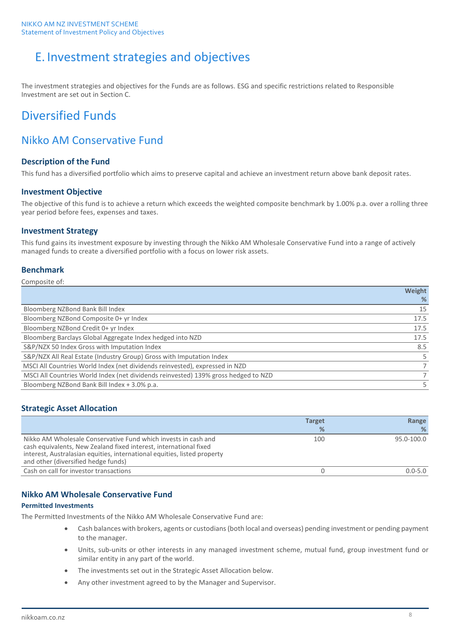# E. Investment strategies and objectives

The investment strategies and objectives for the Funds are as follows. ESG and specific restrictions related to Responsible Investment are set out in Section C.

## Diversified Funds

## Nikko AM Conservative Fund

## **Description of the Fund**

This fund has a diversified portfolio which aims to preserve capital and achieve an investment return above bank deposit rates.

## **Investment Objective**

The objective of this fund is to achieve a return which exceeds the weighted composite benchmark by 1.00% p.a. over a rolling three year period before fees, expenses and taxes.

## **Investment Strategy**

This fund gains its investment exposure by investing through the Nikko AM Wholesale Conservative Fund into a range of actively managed funds to create a diversified portfolio with a focus on lower risk assets.

## **Benchmark**

### Composite of:

|                                                                                    | Weight |
|------------------------------------------------------------------------------------|--------|
|                                                                                    | %      |
| Bloomberg NZBond Bank Bill Index                                                   | 15     |
| Bloomberg NZBond Composite 0+ yr Index                                             | 17.5   |
| Bloomberg NZBond Credit 0+ yr Index                                                | 17.5   |
| Bloomberg Barclays Global Aggregate Index hedged into NZD                          | 17.5   |
| S&P/NZX 50 Index Gross with Imputation Index                                       | 8.5    |
| S&P/NZX All Real Estate (Industry Group) Gross with Imputation Index               |        |
| MSCI All Countries World Index (net dividends reinvested), expressed in NZD        |        |
| MSCI All Countries World Index (net dividends reinvested) 139% gross hedged to NZD |        |
| Bloomberg NZBond Bank Bill Index + 3.0% p.a.                                       |        |

## **Strategic Asset Allocation**

|                                                                                                                                                                                                                                                        | <b>Target</b><br>% | Range<br>%  |
|--------------------------------------------------------------------------------------------------------------------------------------------------------------------------------------------------------------------------------------------------------|--------------------|-------------|
|                                                                                                                                                                                                                                                        |                    |             |
| Nikko AM Wholesale Conservative Fund which invests in cash and<br>cash equivalents, New Zealand fixed interest, international fixed<br>interest, Australasian equities, international equities, listed property<br>and other (diversified hedge funds) | 100                | 95.0-100.0  |
| Cash on call for investor transactions                                                                                                                                                                                                                 |                    | $0.0 - 5.0$ |

## **Nikko AM Wholesale Conservative Fund**

## **Permitted Investments**

The Permitted Investments of the Nikko AM Wholesale Conservative Fund are:

- Cash balances with brokers, agents or custodians (both local and overseas) pending investment or pending payment to the manager.
- Units, sub-units or other interests in any managed investment scheme, mutual fund, group investment fund or similar entity in any part of the world.
- The investments set out in the Strategic Asset Allocation below.
- Any other investment agreed to by the Manager and Supervisor.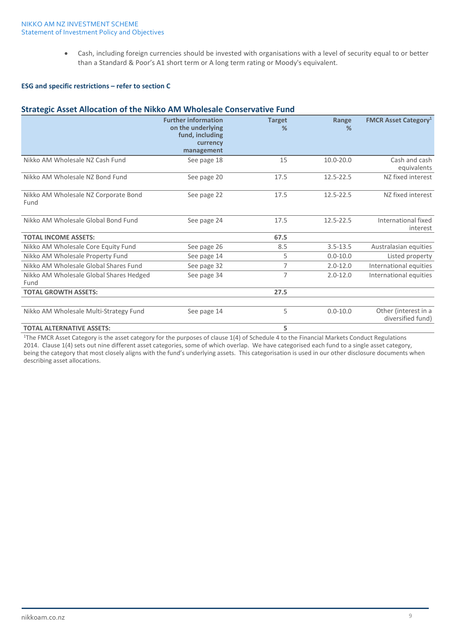• Cash, including foreign currencies should be invested with organisations with a level of security equal to or better than a Standard & Poor's A1 short term or A long term rating or Moody's equivalent.

### **ESG and specific restrictions – refer to section C**

## **Strategic Asset Allocation of the Nikko AM Wholesale Conservative Fund**

|                                                 | <b>Further information</b><br>on the underlying<br>fund, including<br>currency<br>management | <b>Target</b><br>% | Range<br>%    | <b>FMCR Asset Category</b> <sup>1</sup>   |
|-------------------------------------------------|----------------------------------------------------------------------------------------------|--------------------|---------------|-------------------------------------------|
| Nikko AM Wholesale NZ Cash Fund                 | See page 18                                                                                  | 15                 | $10.0 - 20.0$ | Cash and cash<br>equivalents              |
| Nikko AM Wholesale NZ Bond Fund                 | See page 20                                                                                  | 17.5               | 12.5-22.5     | NZ fixed interest                         |
| Nikko AM Wholesale NZ Corporate Bond<br>Fund    | See page 22                                                                                  | 17.5               | 12.5-22.5     | NZ fixed interest                         |
| Nikko AM Wholesale Global Bond Fund             | See page 24                                                                                  | 17.5               | 12.5-22.5     | International fixed<br>interest           |
| <b>TOTAL INCOME ASSETS:</b>                     |                                                                                              | 67.5               |               |                                           |
| Nikko AM Wholesale Core Equity Fund             | See page 26                                                                                  | 8.5                | $3.5 - 13.5$  | Australasian equities                     |
| Nikko AM Wholesale Property Fund                | See page 14                                                                                  | 5                  | $0.0 - 10.0$  | Listed property                           |
| Nikko AM Wholesale Global Shares Fund           | See page 32                                                                                  | 7                  | $2.0 - 12.0$  | International equities                    |
| Nikko AM Wholesale Global Shares Hedged<br>Fund | See page 34                                                                                  | 7                  | $2.0 - 12.0$  | International equities                    |
| <b>TOTAL GROWTH ASSETS:</b>                     |                                                                                              | 27.5               |               |                                           |
| Nikko AM Wholesale Multi-Strategy Fund          | See page 14                                                                                  | 5                  | $0.0 - 10.0$  | Other (interest in a<br>diversified fund) |
| <b>TOTAL ALTERNATIVE ASSETS:</b>                |                                                                                              | 5                  |               |                                           |

1The FMCR Asset Category is the asset category for the purposes of clause 1(4) of Schedule 4 to the Financial Markets Conduct Regulations 2014. Clause 1(4) sets out nine different asset categories, some of which overlap. We have categorised each fund to a single asset category, being the category that most closely aligns with the fund's underlying assets. This categorisation is used in our other disclosure documents when describing asset allocations.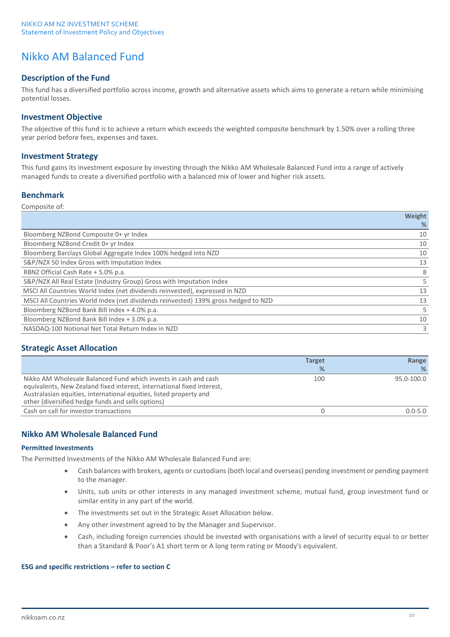## Nikko AM Balanced Fund

## **Description of the Fund**

This fund has a diversified portfolio across income, growth and alternative assets which aims to generate a return while minimising potential losses.

## **Investment Objective**

The objective of this fund is to achieve a return which exceeds the weighted composite benchmark by 1.50% over a rolling three year period before fees, expenses and taxes.

## **Investment Strategy**

This fund gains its investment exposure by investing through the Nikko AM Wholesale Balanced Fund into a range of actively managed funds to create a diversified portfolio with a balanced mix of lower and higher risk assets.

## **Benchmark**

| Composite of: |  |
|---------------|--|
|               |  |

|                                                                                    | Weight |
|------------------------------------------------------------------------------------|--------|
|                                                                                    | %      |
| Bloomberg NZBond Composite 0+ yr Index                                             | 10     |
| Bloomberg NZBond Credit 0+ yr Index                                                | 10     |
| Bloomberg Barclays Global Aggregate Index 100% hedged into NZD                     | 10     |
| S&P/NZX 50 Index Gross with Imputation Index                                       | 13     |
| RBNZ Official Cash Rate + 5.0% p.a.                                                | 8      |
| S&P/NZX All Real Estate (Industry Group) Gross with Imputation Index               |        |
| MSCI All Countries World Index (net dividends reinvested), expressed in NZD        | 13     |
| MSCI All Countries World Index (net dividends reinvested) 139% gross hedged to NZD | 13     |
| Bloomberg NZBond Bank Bill Index + 4.0% p.a.                                       | 5.     |
| Bloomberg NZBond Bank Bill Index + 3.0% p.a.                                       | 10     |
| NASDAQ-100 Notional Net Total Return Index in NZD                                  | 3      |

## **Strategic Asset Allocation**

|                                                                                                                                                                                                                                                                      | <b>Target</b><br>$\frac{9}{6}$ | Range<br>%  |
|----------------------------------------------------------------------------------------------------------------------------------------------------------------------------------------------------------------------------------------------------------------------|--------------------------------|-------------|
| Nikko AM Wholesale Balanced Fund which invests in cash and cash<br>equivalents, New Zealand fixed interest, international fixed interest,<br>Australasian equities, international equities, listed property and<br>other (diversified hedge funds and sells options) | 100                            | 95.0-100.0  |
| Cash on call for investor transactions                                                                                                                                                                                                                               |                                | $0.0 - 5.0$ |

## **Nikko AM Wholesale Balanced Fund**

### **Permitted Investments**

The Permitted Investments of the Nikko AM Wholesale Balanced Fund are:

- Cash balances with brokers, agents or custodians (both local and overseas) pending investment or pending payment to the manager.
- Units, sub units or other interests in any managed investment scheme, mutual fund, group investment fund or similar entity in any part of the world.
- The investments set out in the Strategic Asset Allocation below.
- Any other investment agreed to by the Manager and Supervisor.
- Cash, including foreign currencies should be invested with organisations with a level of security equal to or better than a Standard & Poor's A1 short term or A long term rating or Moody's equivalent.

### **ESG and specific restrictions – refer to section C**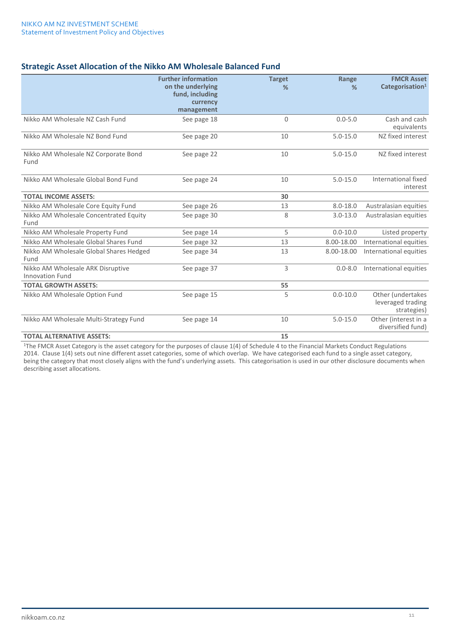## **Strategic Asset Allocation of the Nikko AM Wholesale Balanced Fund**

|                                                             | <b>Further information</b><br>on the underlying<br>fund, including<br>currency<br>management | <b>Target</b><br>% | Range<br>%   | <b>FMCR Asset</b><br>Categorisation <sup>1</sup>      |
|-------------------------------------------------------------|----------------------------------------------------------------------------------------------|--------------------|--------------|-------------------------------------------------------|
| Nikko AM Wholesale NZ Cash Fund                             | See page 18                                                                                  | $\mathbf 0$        | $0.0 - 5.0$  | Cash and cash<br>equivalents                          |
| Nikko AM Wholesale NZ Bond Fund                             | See page 20                                                                                  | 10                 | $5.0 - 15.0$ | NZ fixed interest                                     |
| Nikko AM Wholesale NZ Corporate Bond<br>Fund                | See page 22                                                                                  | 10                 | $5.0 - 15.0$ | NZ fixed interest                                     |
| Nikko AM Wholesale Global Bond Fund                         | See page 24                                                                                  | 10                 | $5.0 - 15.0$ | International fixed<br>interest                       |
| <b>TOTAL INCOME ASSETS:</b>                                 |                                                                                              | 30                 |              |                                                       |
| Nikko AM Wholesale Core Equity Fund                         | See page 26                                                                                  | 13                 | $8.0 - 18.0$ | Australasian equities                                 |
| Nikko AM Wholesale Concentrated Equity<br>Fund              | See page 30                                                                                  | 8                  | $3.0 - 13.0$ | Australasian equities                                 |
| Nikko AM Wholesale Property Fund                            | See page 14                                                                                  | 5                  | $0.0 - 10.0$ | Listed property                                       |
| Nikko AM Wholesale Global Shares Fund                       | See page 32                                                                                  | 13                 | 8.00-18.00   | International equities                                |
| Nikko AM Wholesale Global Shares Hedged<br>Fund             | See page 34                                                                                  | 13                 | 8.00-18.00   | International equities                                |
| Nikko AM Wholesale ARK Disruptive<br><b>Innovation Fund</b> | See page 37                                                                                  | 3                  | $0.0 - 8.0$  | International equities                                |
| <b>TOTAL GROWTH ASSETS:</b>                                 |                                                                                              | 55                 |              |                                                       |
| Nikko AM Wholesale Option Fund                              | See page 15                                                                                  | 5                  | $0.0 - 10.0$ | Other (undertakes<br>leveraged trading<br>strategies) |
| Nikko AM Wholesale Multi-Strategy Fund                      | See page 14                                                                                  | 10                 | $5.0 - 15.0$ | Other (interest in a<br>diversified fund)             |
| <b>TOTAL ALTERNATIVE ASSETS:</b>                            |                                                                                              | 15                 |              |                                                       |

<sup>1</sup>The FMCR Asset Category is the asset category for the purposes of clause 1(4) of Schedule 4 to the Financial Markets Conduct Regulations 2014. Clause 1(4) sets out nine different asset categories, some of which overlap. We have categorised each fund to a single asset category, being the category that most closely aligns with the fund's underlying assets. This categorisation is used in our other disclosure documents when describing asset allocations.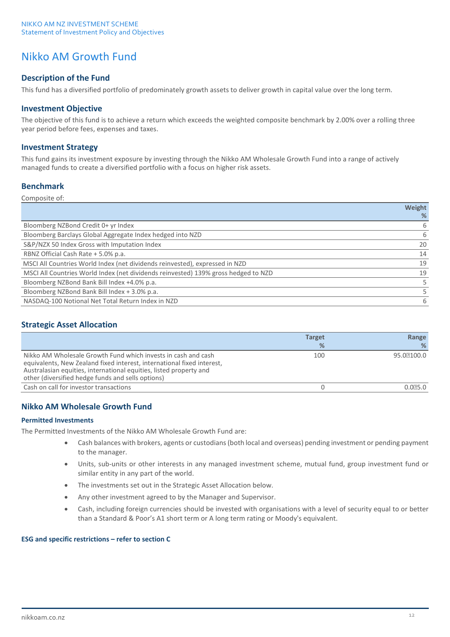## Nikko AM Growth Fund

## **Description of the Fund**

This fund has a diversified portfolio of predominately growth assets to deliver growth in capital value over the long term.

## **Investment Objective**

The objective of this fund is to achieve a return which exceeds the weighted composite benchmark by 2.00% over a rolling three year period before fees, expenses and taxes.

## **Investment Strategy**

This fund gains its investment exposure by investing through the Nikko AM Wholesale Growth Fund into a range of actively managed funds to create a diversified portfolio with a focus on higher risk assets.

## **Benchmark**

| Composite of: |  |  |  |
|---------------|--|--|--|
|---------------|--|--|--|

|                                                                                    | Weight |
|------------------------------------------------------------------------------------|--------|
|                                                                                    | %      |
| Bloomberg NZBond Credit 0+ yr Index                                                | 6      |
| Bloomberg Barclays Global Aggregate Index hedged into NZD                          | 6      |
| S&P/NZX 50 Index Gross with Imputation Index                                       | 20     |
| RBNZ Official Cash Rate + 5.0% p.a.                                                | 14     |
| MSCI All Countries World Index (net dividends reinvested), expressed in NZD        | 19     |
| MSCI All Countries World Index (net dividends reinvested) 139% gross hedged to NZD | 19     |
| Bloomberg NZBond Bank Bill Index +4.0% p.a.                                        |        |
| Bloomberg NZBond Bank Bill Index + 3.0% p.a.                                       |        |
| NASDAQ-100 Notional Net Total Return Index in NZD                                  | 6      |

## **Strategic Asset Allocation**

|                                                                                                                                                                                                                                                                    | <b>Target</b> | Range      |
|--------------------------------------------------------------------------------------------------------------------------------------------------------------------------------------------------------------------------------------------------------------------|---------------|------------|
|                                                                                                                                                                                                                                                                    | %             | %          |
| Nikko AM Wholesale Growth Fund which invests in cash and cash<br>equivalents, New Zealand fixed interest, international fixed interest,<br>Australasian equities, international equities, listed property and<br>other (diversified hedge funds and sells options) | 100           | 95.07100.0 |
| Cash on call for investor transactions                                                                                                                                                                                                                             |               | 0.025.0    |

## **Nikko AM Wholesale Growth Fund**

### **Permitted Investments**

The Permitted Investments of the Nikko AM Wholesale Growth Fund are:

- Cash balances with brokers, agents or custodians (both local and overseas) pending investment or pending payment to the manager.
- Units, sub-units or other interests in any managed investment scheme, mutual fund, group investment fund or similar entity in any part of the world.
- The investments set out in the Strategic Asset Allocation below.
- Any other investment agreed to by the Manager and Supervisor.
- Cash, including foreign currencies should be invested with organisations with a level of security equal to or better than a Standard & Poor's A1 short term or A long term rating or Moody's equivalent.

### **ESG and specific restrictions – refer to section C**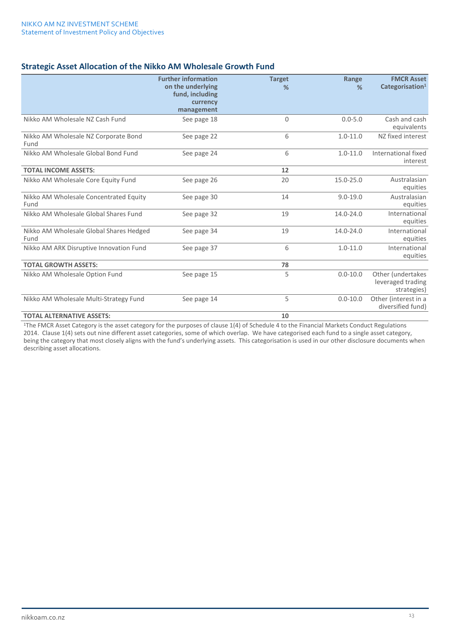## **Strategic Asset Allocation of the Nikko AM Wholesale Growth Fund**

|                                                 | <b>Further information</b><br>on the underlying<br>fund, including<br>currency<br>management | <b>Target</b><br>$\frac{9}{6}$ | Range<br>$\frac{9}{6}$ | <b>FMCR Asset</b><br>Categorisation <sup>1</sup>      |
|-------------------------------------------------|----------------------------------------------------------------------------------------------|--------------------------------|------------------------|-------------------------------------------------------|
| Nikko AM Wholesale NZ Cash Fund                 | See page 18                                                                                  | 0                              | $0.0 - 5.0$            | Cash and cash<br>equivalents                          |
| Nikko AM Wholesale NZ Corporate Bond<br>Fund    | See page 22                                                                                  | 6                              | $1.0 - 11.0$           | NZ fixed interest                                     |
| Nikko AM Wholesale Global Bond Fund             | See page 24                                                                                  | 6                              | $1.0 - 11.0$           | International fixed<br>interest                       |
| <b>TOTAL INCOME ASSETS:</b>                     |                                                                                              | 12                             |                        |                                                       |
| Nikko AM Wholesale Core Equity Fund             | See page 26                                                                                  | 20                             | 15.0-25.0              | Australasian<br>equities                              |
| Nikko AM Wholesale Concentrated Equity<br>Fund  | See page 30                                                                                  | 14                             | $9.0 - 19.0$           | Australasian<br>equities                              |
| Nikko AM Wholesale Global Shares Fund           | See page 32                                                                                  | 19                             | $14.0 - 24.0$          | International<br>equities                             |
| Nikko AM Wholesale Global Shares Hedged<br>Fund | See page 34                                                                                  | 19                             | 14.0-24.0              | International<br>equities                             |
| Nikko AM ARK Disruptive Innovation Fund         | See page 37                                                                                  | 6                              | $1.0 - 11.0$           | International<br>equities                             |
| <b>TOTAL GROWTH ASSETS:</b>                     |                                                                                              | 78                             |                        |                                                       |
| Nikko AM Wholesale Option Fund                  | See page 15                                                                                  | 5                              | $0.0 - 10.0$           | Other (undertakes<br>leveraged trading<br>strategies) |
| Nikko AM Wholesale Multi-Strategy Fund          | See page 14                                                                                  | 5                              | $0.0 - 10.0$           | Other (interest in a<br>diversified fund)             |
| <b>TOTAL ALTERNATIVE ASSETS:</b>                |                                                                                              | 10                             |                        |                                                       |

<sup>1</sup>The FMCR Asset Category is the asset category for the purposes of clause 1(4) of Schedule 4 to the Financial Markets Conduct Regulations 2014. Clause 1(4) sets out nine different asset categories, some of which overlap. We have categorised each fund to a single asset category, being the category that most closely aligns with the fund's underlying assets. This categorisation is used in our other disclosure documents when describing asset allocations.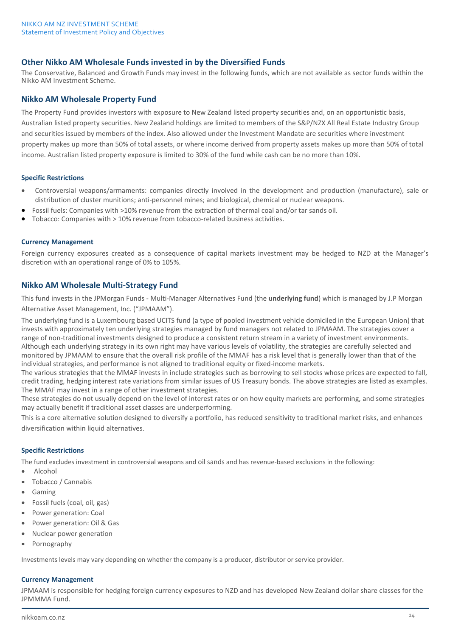## **Other Nikko AM Wholesale Funds invested in by the Diversified Funds**

The Conservative, Balanced and Growth Funds may invest in the following funds, which are not available as sector funds within the Nikko AM Investment Scheme.

## **Nikko AM Wholesale Property Fund**

The Property Fund provides investors with exposure to New Zealand listed property securities and, on an opportunistic basis, Australian listed property securities. New Zealand holdings are limited to members of the S&P/NZX All Real Estate Industry Group and securities issued by members of the index. Also allowed under the Investment Mandate are securities where investment property makes up more than 50% of total assets, or where income derived from property assets makes up more than 50% of total income. Australian listed property exposure is limited to 30% of the fund while cash can be no more than 10%.

### **Specific Restrictions**

- Controversial weapons/armaments: companies directly involved in the development and production (manufacture), sale or distribution of cluster munitions; anti-personnel mines; and biological, chemical or nuclear weapons.
- Fossil fuels: Companies with >10% revenue from the extraction of thermal coal and/or tar sands oil.
- Tobacco: Companies with > 10% revenue from tobacco-related business activities.

#### **Currency Management**

Foreign currency exposures created as a consequence of capital markets investment may be hedged to NZD at the Manager's discretion with an operational range of 0% to 105%.

### **Nikko AM Wholesale Multi-Strategy Fund**

This fund invests in the JPMorgan Funds - Multi-Manager Alternatives Fund (the **underlying fund**) which is managed by J.P Morgan Alternative Asset Management, Inc. ("JPMAAM").

The underlying fund is a Luxembourg based UCITS fund (a type of pooled investment vehicle domiciled in the European Union) that invests with approximately ten underlying strategies managed by fund managers not related to JPMAAM. The strategies cover a range of non-traditional investments designed to produce a consistent return stream in a variety of investment environments. Although each underlying strategy in its own right may have various levels of volatility, the strategies are carefully selected and monitored by JPMAAM to ensure that the overall risk profile of the MMAF has a risk level that is generally lower than that of the individual strategies, and performance is not aligned to traditional equity or fixed-income markets.

The various strategies that the MMAF invests in include strategies such as borrowing to sell stocks whose prices are expected to fall, credit trading, hedging interest rate variations from similar issues of US Treasury bonds. The above strategies are listed as examples. The MMAF may invest in a range of other investment strategies.

These strategies do not usually depend on the level of interest rates or on how equity markets are performing, and some strategies may actually benefit if traditional asset classes are underperforming.

This is a core alternative solution designed to diversify a portfolio, has reduced sensitivity to traditional market risks, and enhances diversification within liquid alternatives.

### **Specific Restrictions**

The fund excludes investment in controversial weapons and oil sands and has revenue-based exclusions in the following:

- Alcohol
- Tobacco / Cannabis
- Gaming
- Fossil fuels (coal, oil, gas)
- Power generation: Coal
- Power generation: Oil & Gas
- Nuclear power generation
- Pornography

Investments levels may vary depending on whether the company is a producer, distributor or service provider.

#### **Currency Management**

JPMAAM is responsible for hedging foreign currency exposures to NZD and has developed New Zealand dollar share classes for the JPMMMA Fund.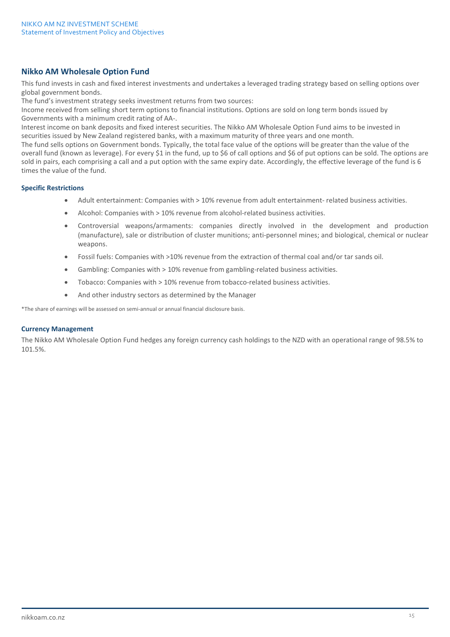## **Nikko AM Wholesale Option Fund**

This fund invests in cash and fixed interest investments and undertakes a leveraged trading strategy based on selling options over global government bonds.

The fund's investment strategy seeks investment returns from two sources:

Income received from selling short term options to financial institutions. Options are sold on long term bonds issued by Governments with a minimum credit rating of AA-.

Interest income on bank deposits and fixed interest securities. The Nikko AM Wholesale Option Fund aims to be invested in securities issued by New Zealand registered banks, with a maximum maturity of three years and one month.

The fund sells options on Government bonds. Typically, the total face value of the options will be greater than the value of the overall fund (known as leverage). For every \$1 in the fund, up to \$6 of call options and \$6 of put options can be sold. The options are sold in pairs, each comprising a call and a put option with the same expiry date. Accordingly, the effective leverage of the fund is 6 times the value of the fund.

### **Specific Restrictions**

- Adult entertainment: Companies with > 10% revenue from adult entertainment- related business activities.
- Alcohol: Companies with > 10% revenue from alcohol-related business activities.
- Controversial weapons/armaments: companies directly involved in the development and production (manufacture), sale or distribution of cluster munitions; anti-personnel mines; and biological, chemical or nuclear weapons.
- Fossil fuels: Companies with >10% revenue from the extraction of thermal coal and/or tar sands oil.
- Gambling: Companies with > 10% revenue from gambling-related business activities.
- Tobacco: Companies with > 10% revenue from tobacco-related business activities.
- And other industry sectors as determined by the Manager

\*The share of earnings will be assessed on semi-annual or annual financial disclosure basis.

### **Currency Management**

The Nikko AM Wholesale Option Fund hedges any foreign currency cash holdings to the NZD with an operational range of 98.5% to 101.5%.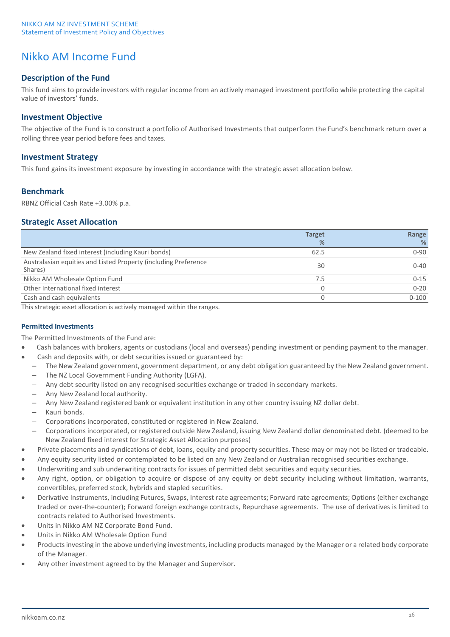## Nikko AM Income Fund

## **Description of the Fund**

This fund aims to provide investors with regular income from an actively managed investment portfolio while protecting the capital value of investors' funds.

## **Investment Objective**

The objective of the Fund is to construct a portfolio of Authorised Investments that outperform the Fund's benchmark return over a rolling three year period before fees and taxes.

## **Investment Strategy**

This fund gains its investment exposure by investing in accordance with the strategic asset allocation below.

## **Benchmark**

RBNZ Official Cash Rate +3.00% p.a.

## **Strategic Asset Allocation**

|                                                                            | <b>Target</b> | Range     |
|----------------------------------------------------------------------------|---------------|-----------|
|                                                                            | %             | %         |
| New Zealand fixed interest (including Kauri bonds)                         | 62.5          | $0 - 90$  |
| Australasian equities and Listed Property (including Preference<br>Shares) | 30            | $0 - 40$  |
| Nikko AM Wholesale Option Fund                                             | 7.5           | $0 - 15$  |
| Other International fixed interest                                         |               | $0 - 20$  |
| Cash and cash equivalents                                                  |               | $0 - 100$ |

This strategic asset allocation is actively managed within the ranges.

## **Permitted Investments**

The Permitted Investments of the Fund are:

- Cash balances with brokers, agents or custodians (local and overseas) pending investment or pending payment to the manager.
- Cash and deposits with, or debt securities issued or guaranteed by:
- The New Zealand government, government department, or any debt obligation guaranteed by the New Zealand government.
- The NZ Local Government Funding Authority (LGFA).
- Any debt security listed on any recognised securities exchange or traded in secondary markets.
- Any New Zealand local authority.
- Any New Zealand registered bank or equivalent institution in any other country issuing NZ dollar debt.
- Kauri bonds.
- Corporations incorporated, constituted or registered in New Zealand.
- Corporations incorporated, or registered outside New Zealand, issuing New Zealand dollar denominated debt. (deemed to be New Zealand fixed interest for Strategic Asset Allocation purposes)
- Private placements and syndications of debt, loans, equity and property securities. These may or may not be listed or tradeable.
- Any equity security listed or contemplated to be listed on any New Zealand or Australian recognised securities exchange.
- Underwriting and sub underwriting contracts for issues of permitted debt securities and equity securities.
- Any right, option, or obligation to acquire or dispose of any equity or debt security including without limitation, warrants, convertibles, preferred stock, hybrids and stapled securities.
- Derivative Instruments, including Futures, Swaps, Interest rate agreements; Forward rate agreements; Options (either exchange traded or over-the-counter); Forward foreign exchange contracts, Repurchase agreements. The use of derivatives is limited to contracts related to Authorised Investments.
- Units in Nikko AM NZ Corporate Bond Fund.
- Units in Nikko AM Wholesale Option Fund
- Products investing in the above underlying investments, including products managed by the Manager or a related body corporate of the Manager.
- Any other investment agreed to by the Manager and Supervisor.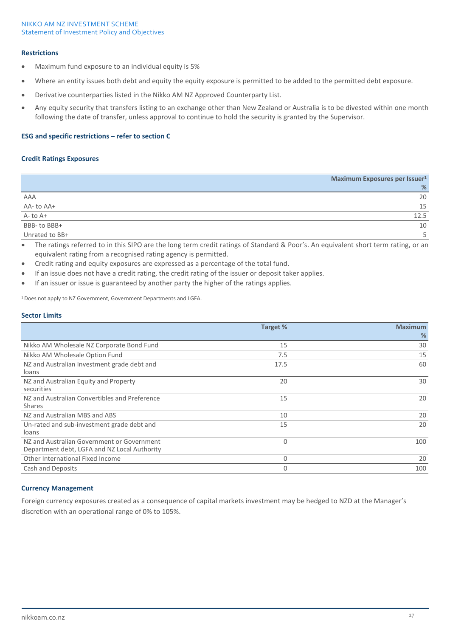### **Restrictions**

- Maximum fund exposure to an individual equity is 5%
- Where an entity issues both debt and equity the equity exposure is permitted to be added to the permitted debt exposure.
- Derivative counterparties listed in the Nikko AM NZ Approved Counterparty List.
- Any equity security that transfers listing to an exchange other than New Zealand or Australia is to be divested within one month following the date of transfer, unless approval to continue to hold the security is granted by the Supervisor.

### **ESG and specific restrictions – refer to section C**

#### **Credit Ratings Exposures**

|                | Maximum Exposures per Issuer <sup>1</sup> |
|----------------|-------------------------------------------|
|                | %                                         |
| AAA            | 20                                        |
| AA-to AA+      | 15                                        |
| A-to A+        | 12.5                                      |
| BBB-to BBB+    | 10                                        |
| Unrated to BB+ |                                           |

• The ratings referred to in this SIPO are the long term credit ratings of Standard & Poor's. An equivalent short term rating, or an equivalent rating from a recognised rating agency is permitted.

- Credit rating and equity exposures are expressed as a percentage of the total fund.
- If an issue does not have a credit rating, the credit rating of the issuer or deposit taker applies.
- If an issuer or issue is guaranteed by another party the higher of the ratings applies.

<sup>1</sup> Does not apply to NZ Government, Government Departments and LGFA.

### **Sector Limits**

|                                                                                            | Target % | <b>Maximum</b><br>% |
|--------------------------------------------------------------------------------------------|----------|---------------------|
| Nikko AM Wholesale NZ Corporate Bond Fund                                                  | 15       | 30                  |
| Nikko AM Wholesale Option Fund                                                             | 7.5      | 15                  |
| NZ and Australian Investment grade debt and<br>loans                                       | 17.5     | 60                  |
| NZ and Australian Equity and Property<br>securities                                        | 20       | 30                  |
| NZ and Australian Convertibles and Preference<br><b>Shares</b>                             | 15       | 20                  |
| NZ and Australian MBS and ABS                                                              | 10       | 20                  |
| Un-rated and sub-investment grade debt and<br>loans                                        | 15       | 20                  |
| NZ and Australian Government or Government<br>Department debt, LGFA and NZ Local Authority | $\Omega$ | 100                 |
| Other International Fixed Income                                                           | 0        | 20                  |
| Cash and Deposits                                                                          | 0        | 100                 |

### **Currency Management**

Foreign currency exposures created as a consequence of capital markets investment may be hedged to NZD at the Manager's discretion with an operational range of 0% to 105%.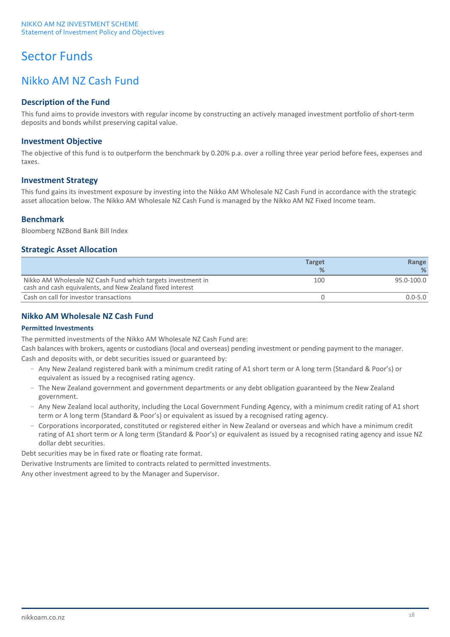# Sector Funds

## Nikko AM NZ Cash Fund

## **Description of the Fund**

This fund aims to provide investors with regular income by constructing an actively managed investment portfolio of short-term deposits and bonds whilst preserving capital value.

## **Investment Objective**

The objective of this fund is to outperform the benchmark by 0.20% p.a. over a rolling three year period before fees, expenses and taxes.

## **Investment Strategy**

This fund gains its investment exposure by investing into the Nikko AM Wholesale NZ Cash Fund in accordance with the strategic asset allocation below. The Nikko AM Wholesale NZ Cash Fund is managed by the Nikko AM NZ Fixed Income team.

## **Benchmark**

Bloomberg NZBond Bank Bill Index

## **Strategic Asset Allocation**

|                                                                                                                          | <b>Target</b> | Range       |
|--------------------------------------------------------------------------------------------------------------------------|---------------|-------------|
|                                                                                                                          | %             | ℅           |
| Nikko AM Wholesale NZ Cash Fund which targets investment in<br>cash and cash equivalents, and New Zealand fixed interest | 100           | 95.0-100.0  |
| Cash on call for investor transactions                                                                                   |               | $0.0 - 5.0$ |

## **Nikko AM Wholesale NZ Cash Fund**

## **Permitted Investments**

The permitted investments of the Nikko AM Wholesale NZ Cash Fund are:

Cash balances with brokers, agents or custodians (local and overseas) pending investment or pending payment to the manager. Cash and deposits with, or debt securities issued or guaranteed by:

- Any New Zealand registered bank with a minimum credit rating of A1 short term or A long term (Standard & Poor's) or equivalent as issued by a recognised rating agency.
- The New Zealand government and government departments or any debt obligation guaranteed by the New Zealand government.
- Any New Zealand local authority, including the Local Government Funding Agency, with a minimum credit rating of A1 short term or A long term (Standard & Poor's) or equivalent as issued by a recognised rating agency.
- Corporations incorporated, constituted or registered either in New Zealand or overseas and which have a minimum credit rating of A1 short term or A long term (Standard & Poor's) or equivalent as issued by a recognised rating agency and issue NZ dollar debt securities.

Debt securities may be in fixed rate or floating rate format.

Derivative Instruments are limited to contracts related to permitted investments.

Any other investment agreed to by the Manager and Supervisor.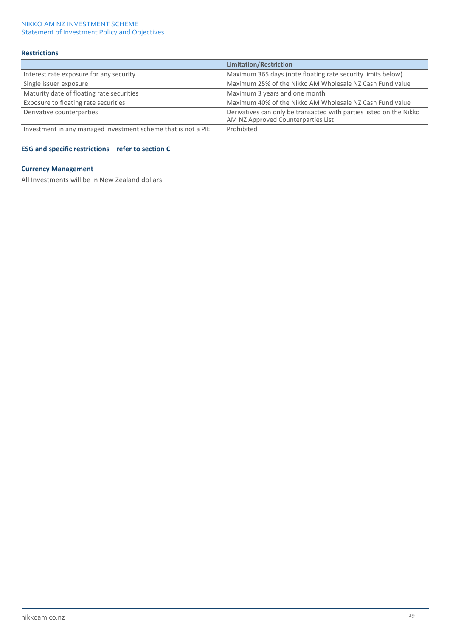### **Restrictions**

|                                                               | <b>Limitation/Restriction</b>                                                                             |
|---------------------------------------------------------------|-----------------------------------------------------------------------------------------------------------|
| Interest rate exposure for any security                       | Maximum 365 days (note floating rate security limits below)                                               |
| Single issuer exposure                                        | Maximum 25% of the Nikko AM Wholesale NZ Cash Fund value                                                  |
| Maturity date of floating rate securities                     | Maximum 3 years and one month                                                                             |
| Exposure to floating rate securities                          | Maximum 40% of the Nikko AM Wholesale NZ Cash Fund value                                                  |
| Derivative counterparties                                     | Derivatives can only be transacted with parties listed on the Nikko<br>AM NZ Approved Counterparties List |
| Investment in any managed investment scheme that is not a PIE | Prohibited                                                                                                |

## **ESG and specific restrictions – refer to section C**

### **Currency Management**

All Investments will be in New Zealand dollars.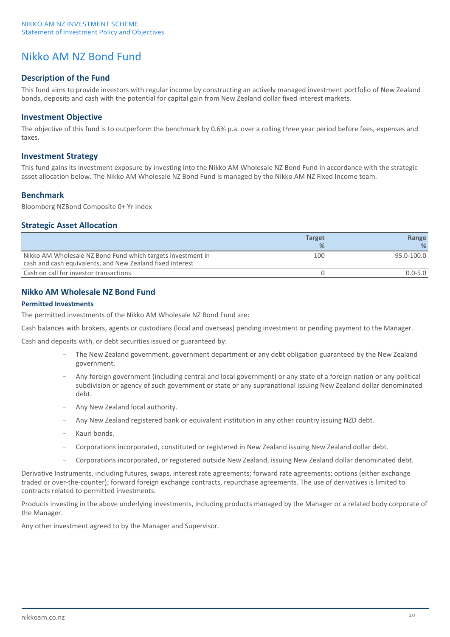## Nikko AM NZ Bond Fund

## **Description of the Fund**

This fund aims to provide investors with regular income by constructing an actively managed investment portfolio of New Zealand bonds, deposits and cash with the potential for capital gain from New Zealand dollar fixed interest markets.

### **Investment Objective**

The objective of this fund is to outperform the benchmark by 0.6% p.a. over a rolling three year period before fees, expenses and taxes.

### **Investment Strategy**

This fund gains its investment exposure by investing into the Nikko AM Wholesale NZ Bond Fund in accordance with the strategic asset allocation below. The Nikko AM Wholesale NZ Bond Fund is managed by the Nikko AM NZ Fixed Income team.

## **Benchmark**

Bloomberg NZBond Composite 0+ Yr Index

### **Strategic Asset Allocation**

|                                                                                                                          | <b>Target</b> | Range       |
|--------------------------------------------------------------------------------------------------------------------------|---------------|-------------|
|                                                                                                                          | ℅             | %           |
| Nikko AM Wholesale NZ Bond Fund which targets investment in<br>cash and cash equivalents, and New Zealand fixed interest | 100           | 95.0-100.0  |
| Cash on call for investor transactions                                                                                   |               | $0.0 - 5.0$ |

## **Nikko AM Wholesale NZ Bond Fund**

### **Permitted Investments**

The permitted investments of the Nikko AM Wholesale NZ Bond Fund are:

Cash balances with brokers, agents or custodians (local and overseas) pending investment or pending payment to the Manager.

Cash and deposits with, or debt securities issued or guaranteed by:

- The New Zealand government, government department or any debt obligation guaranteed by the New Zealand government.
- Any foreign government (including central and local government) or any state of a foreign nation or any political subdivision or agency of such government or state or any supranational issuing New Zealand dollar denominated debt.
- Any New Zealand local authority.
- Any New Zealand registered bank or equivalent institution in any other country issuing NZD debt.
- Kauri bonds.
- Corporations incorporated, constituted or registered in New Zealand issuing New Zealand dollar debt.
- Corporations incorporated, or registered outside New Zealand, issuing New Zealand dollar denominated debt.

Derivative Instruments, including futures, swaps, interest rate agreements; forward rate agreements; options (either exchange traded or over-the-counter); forward foreign exchange contracts, repurchase agreements. The use of derivatives is limited to contracts related to permitted investments.

Products investing in the above underlying investments, including products managed by the Manager or a related body corporate of the Manager.

Any other investment agreed to by the Manager and Supervisor.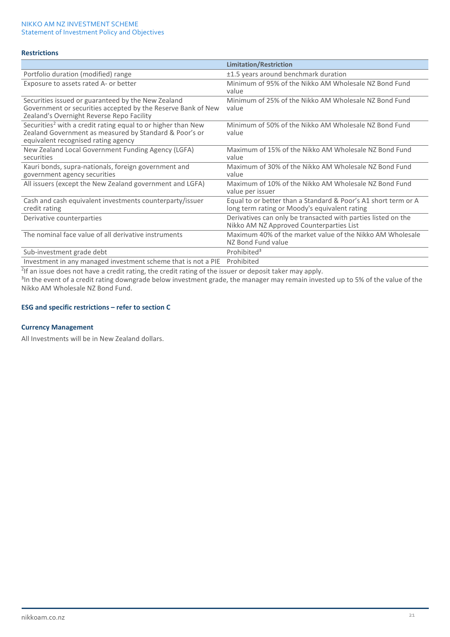### **Restrictions**

|                                                                                                                                                                           | <b>Limitation/Restriction</b>                                                                                   |
|---------------------------------------------------------------------------------------------------------------------------------------------------------------------------|-----------------------------------------------------------------------------------------------------------------|
| Portfolio duration (modified) range                                                                                                                                       | ±1.5 years around benchmark duration                                                                            |
| Exposure to assets rated A- or better                                                                                                                                     | Minimum of 95% of the Nikko AM Wholesale NZ Bond Fund<br>value                                                  |
| Securities issued or guaranteed by the New Zealand<br>Government or securities accepted by the Reserve Bank of New<br>Zealand's Overnight Reverse Repo Facility           | Minimum of 25% of the Nikko AM Wholesale NZ Bond Fund<br>value                                                  |
| Securities <sup>2</sup> with a credit rating equal to or higher than New<br>Zealand Government as measured by Standard & Poor's or<br>equivalent recognised rating agency | Minimum of 50% of the Nikko AM Wholesale NZ Bond Fund<br>value                                                  |
| New Zealand Local Government Funding Agency (LGFA)<br>securities                                                                                                          | Maximum of 15% of the Nikko AM Wholesale NZ Bond Fund<br>value                                                  |
| Kauri bonds, supra-nationals, foreign government and<br>government agency securities                                                                                      | Maximum of 30% of the Nikko AM Wholesale NZ Bond Fund<br>value                                                  |
| All issuers (except the New Zealand government and LGFA)                                                                                                                  | Maximum of 10% of the Nikko AM Wholesale NZ Bond Fund<br>value per issuer                                       |
| Cash and cash equivalent investments counterparty/issuer<br>credit rating                                                                                                 | Equal to or better than a Standard & Poor's A1 short term or A<br>long term rating or Moody's equivalent rating |
| Derivative counterparties                                                                                                                                                 | Derivatives can only be transacted with parties listed on the<br>Nikko AM NZ Approved Counterparties List       |
| The nominal face value of all derivative instruments                                                                                                                      | Maximum 40% of the market value of the Nikko AM Wholesale<br>NZ Bond Fund value                                 |
| Sub-investment grade debt                                                                                                                                                 | Prohibited <sup>3</sup>                                                                                         |
| Investment in any managed investment scheme that is not a PIE                                                                                                             | Prohibited                                                                                                      |

2 If an issue does not have a credit rating, the credit rating of the issuer or deposit taker may apply.

<sup>3</sup>In the event of a credit rating downgrade below investment grade, the manager may remain invested up to 5% of the value of the Nikko AM Wholesale NZ Bond Fund.

### **ESG and specific restrictions – refer to section C**

### **Currency Management**

All Investments will be in New Zealand dollars.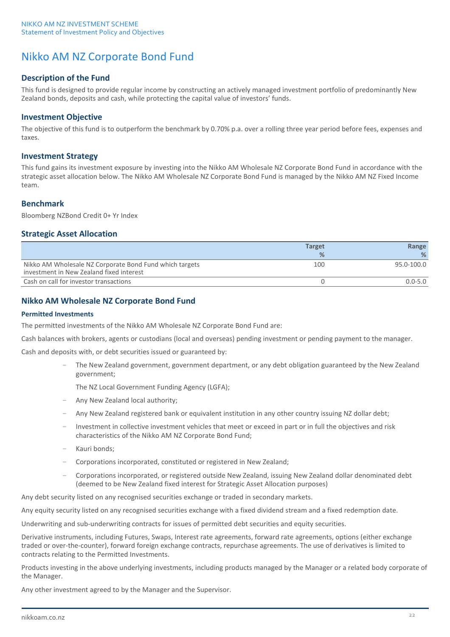## Nikko AM NZ Corporate Bond Fund

## **Description of the Fund**

This fund is designed to provide regular income by constructing an actively managed investment portfolio of predominantly New Zealand bonds, deposits and cash, while protecting the capital value of investors' funds.

### **Investment Objective**

The objective of this fund is to outperform the benchmark by 0.70% p.a. over a rolling three year period before fees, expenses and taxes.

### **Investment Strategy**

This fund gains its investment exposure by investing into the Nikko AM Wholesale NZ Corporate Bond Fund in accordance with the strategic asset allocation below. The Nikko AM Wholesale NZ Corporate Bond Fund is managed by the Nikko AM NZ Fixed Income team.

## **Benchmark**

Bloomberg NZBond Credit 0+ Yr Index

## **Strategic Asset Allocation**

|                                                                                                     | <b>Target</b> | Range       |
|-----------------------------------------------------------------------------------------------------|---------------|-------------|
|                                                                                                     | $\frac{9}{6}$ | %           |
| Nikko AM Wholesale NZ Corporate Bond Fund which targets<br>investment in New Zealand fixed interest | 100           | 95.0-100.0  |
| Cash on call for investor transactions                                                              |               | $0.0 - 5.0$ |

## **Nikko AM Wholesale NZ Corporate Bond Fund**

### **Permitted Investments**

The permitted investments of the Nikko AM Wholesale NZ Corporate Bond Fund are:

Cash balances with brokers, agents or custodians (local and overseas) pending investment or pending payment to the manager.

Cash and deposits with, or debt securities issued or guaranteed by:

– The New Zealand government, government department, or any debt obligation guaranteed by the New Zealand government;

The NZ Local Government Funding Agency (LGFA);

- Any New Zealand local authority;
- Any New Zealand registered bank or equivalent institution in any other country issuing NZ dollar debt;
- Investment in collective investment vehicles that meet or exceed in part or in full the objectives and risk characteristics of the Nikko AM NZ Corporate Bond Fund;
- Kauri bonds;
- Corporations incorporated, constituted or registered in New Zealand;
- Corporations incorporated, or registered outside New Zealand, issuing New Zealand dollar denominated debt (deemed to be New Zealand fixed interest for Strategic Asset Allocation purposes)

Any debt security listed on any recognised securities exchange or traded in secondary markets.

Any equity security listed on any recognised securities exchange with a fixed dividend stream and a fixed redemption date.

Underwriting and sub-underwriting contracts for issues of permitted debt securities and equity securities.

Derivative instruments, including Futures, Swaps, Interest rate agreements, forward rate agreements, options (either exchange traded or over-the-counter), forward foreign exchange contracts, repurchase agreements. The use of derivatives is limited to contracts relating to the Permitted Investments.

Products investing in the above underlying investments, including products managed by the Manager or a related body corporate of the Manager.

Any other investment agreed to by the Manager and the Supervisor.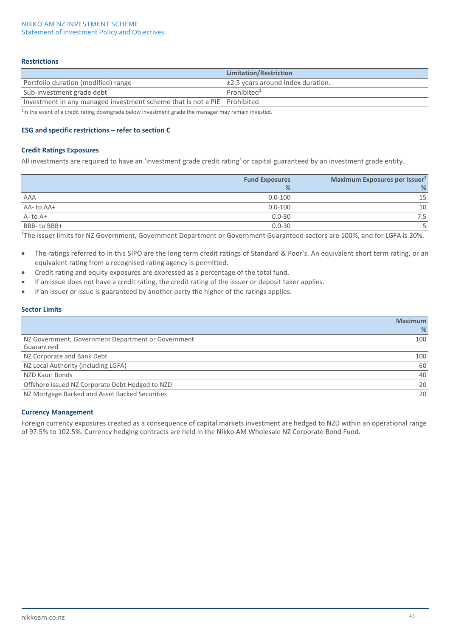### **Restrictions**

|                                                                          | Limitation/Restriction            |
|--------------------------------------------------------------------------|-----------------------------------|
| Portfolio duration (modified) range                                      | ±2.5 years around index duration. |
| Sub-investment grade debt                                                | Prohibited <sup>1</sup>           |
| Investment in any managed investment scheme that is not a PIE Prohibited |                                   |

<sup>1</sup>In the event of a credit rating downgrade below investment grade the manager may remain invested.

### **ESG and specific restrictions – refer to section C**

#### **Credit Ratings Exposures**

All investments are required to have an 'investment grade credit rating' or capital guaranteed by an investment grade entity.

|              | <b>Fund Exposures</b> | Maximum Exposures per Issuer <sup>2</sup> |
|--------------|-----------------------|-------------------------------------------|
|              | %                     | %                                         |
| AAA          | $0.0 - 100$           | 15                                        |
| AA-to AA+    | $0.0 - 100$           | 10                                        |
| $A-$ to $A+$ | $0.0 - 80$            | 7.5                                       |
| BBB-to BBB+  | $0.0 - 30$            |                                           |

2 The issuer limits for NZ Government, Government Department or Government Guaranteed sectors are 100%, and for LGFA is 20%.

- The ratings referred to in this SIPO are the long term credit ratings of Standard & Poor's. An equivalent short term rating, or an equivalent rating from a recognised rating agency is permitted.
- Credit rating and equity exposures are expressed as a percentage of the total fund.
- If an issue does not have a credit rating, the credit rating of the issuer or deposit taker applies.
- If an issuer or issue is guaranteed by another party the higher of the ratings applies.

### **Sector Limits**

|                                                    | <b>Maximum</b> |
|----------------------------------------------------|----------------|
|                                                    | %              |
| NZ Government, Government Department or Government | 100            |
| Guaranteed                                         |                |
| NZ Corporate and Bank Debt                         | 100            |
| NZ Local Authority (including LGFA)                | 60             |
| NZD Kauri Bonds                                    | 40             |
| Offshore issued NZ Corporate Debt Hedged to NZD    | 20             |
| NZ Mortgage Backed and Asset Backed Securities     | 20             |
|                                                    |                |

### **Currency Management**

Foreign currency exposures created as a consequence of capital markets investment are hedged to NZD within an operational range of 97.5% to 102.5%. Currency hedging contracts are held in the Nikko AM Wholesale NZ Corporate Bond Fund.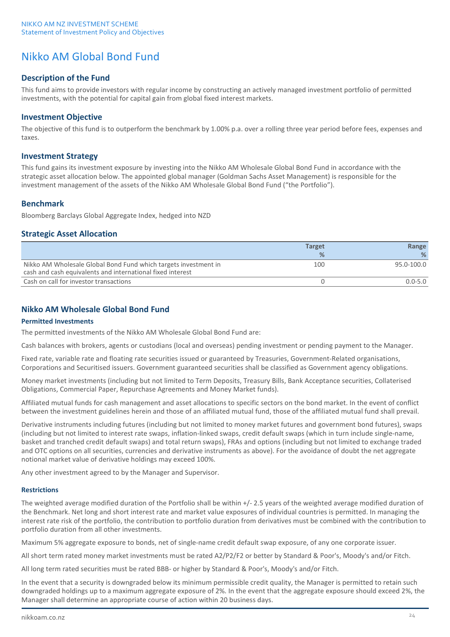## Nikko AM Global Bond Fund

## **Description of the Fund**

This fund aims to provide investors with regular income by constructing an actively managed investment portfolio of permitted investments, with the potential for capital gain from global fixed interest markets.

### **Investment Objective**

The objective of this fund is to outperform the benchmark by 1.00% p.a. over a rolling three year period before fees, expenses and taxes.

### **Investment Strategy**

This fund gains its investment exposure by investing into the Nikko AM Wholesale Global Bond Fund in accordance with the strategic asset allocation below. The appointed global manager (Goldman Sachs Asset Management) is responsible for the investment management of the assets of the Nikko AM Wholesale Global Bond Fund ("the Portfolio").

## **Benchmark**

Bloomberg Barclays Global Aggregate Index, hedged into NZD

## **Strategic Asset Allocation**

|                                                                                                                               | <b>Target</b> | Range       |
|-------------------------------------------------------------------------------------------------------------------------------|---------------|-------------|
|                                                                                                                               | %             | ℅           |
| Nikko AM Wholesale Global Bond Fund which targets investment in<br>cash and cash equivalents and international fixed interest | 100           | 95.0-100.0  |
| Cash on call for investor transactions                                                                                        |               | $0.0 - 5.0$ |

## **Nikko AM Wholesale Global Bond Fund**

### **Permitted Investments**

The permitted investments of the Nikko AM Wholesale Global Bond Fund are:

Cash balances with brokers, agents or custodians (local and overseas) pending investment or pending payment to the Manager.

Fixed rate, variable rate and floating rate securities issued or guaranteed by Treasuries, Government-Related organisations, Corporations and Securitised issuers. Government guaranteed securities shall be classified as Government agency obligations.

Money market investments (including but not limited to Term Deposits, Treasury Bills, Bank Acceptance securities, Collaterised Obligations, Commercial Paper, Repurchase Agreements and Money Market funds).

Affiliated mutual funds for cash management and asset allocations to specific sectors on the bond market. In the event of conflict between the investment guidelines herein and those of an affiliated mutual fund, those of the affiliated mutual fund shall prevail.

Derivative instruments including futures (including but not limited to money market futures and government bond futures), swaps (including but not limited to interest rate swaps, inflation-linked swaps, credit default swaps (which in turn include single-name, basket and tranched credit default swaps) and total return swaps), FRAs and options (including but not limited to exchange traded and OTC options on all securities, currencies and derivative instruments as above). For the avoidance of doubt the net aggregate notional market value of derivative holdings may exceed 100%.

Any other investment agreed to by the Manager and Supervisor.

#### **Restrictions**

The weighted average modified duration of the Portfolio shall be within +/- 2.5 years of the weighted average modified duration of the Benchmark. Net long and short interest rate and market value exposures of individual countries is permitted. In managing the interest rate risk of the portfolio, the contribution to portfolio duration from derivatives must be combined with the contribution to portfolio duration from all other investments.

Maximum 5% aggregate exposure to bonds, net of single-name credit default swap exposure, of any one corporate issuer.

All short term rated money market investments must be rated A2/P2/F2 or better by Standard & Poor's, Moody's and/or Fitch.

All long term rated securities must be rated BBB- or higher by Standard & Poor's, Moody's and/or Fitch.

In the event that a security is downgraded below its minimum permissible credit quality, the Manager is permitted to retain such downgraded holdings up to a maximum aggregate exposure of 2%. In the event that the aggregate exposure should exceed 2%, the Manager shall determine an appropriate course of action within 20 business days.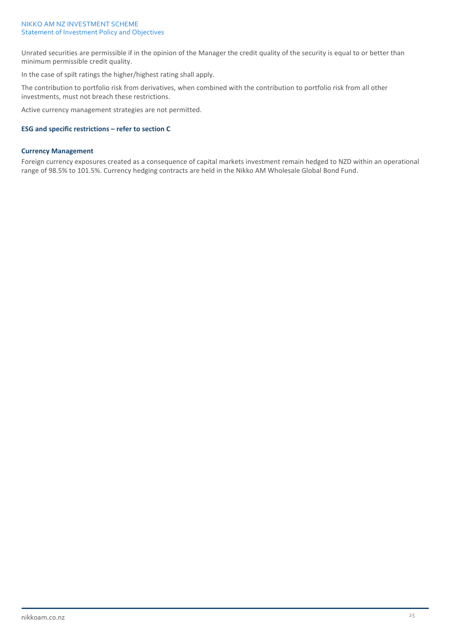Unrated securities are permissible if in the opinion of the Manager the credit quality of the security is equal to or better than minimum permissible credit quality.

In the case of spilt ratings the higher/highest rating shall apply.

The contribution to portfolio risk from derivatives, when combined with the contribution to portfolio risk from all other investments, must not breach these restrictions.

Active currency management strategies are not permitted.

### **ESG and specific restrictions – refer to section C**

### **Currency Management**

Foreign currency exposures created as a consequence of capital markets investment remain hedged to NZD within an operational range of 98.5% to 101.5%. Currency hedging contracts are held in the Nikko AM Wholesale Global Bond Fund.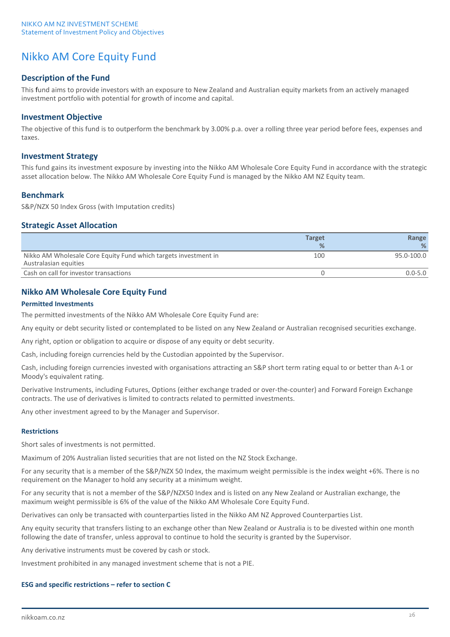## Nikko AM Core Equity Fund

## **Description of the Fund**

This fund aims to provide investors with an exposure to New Zealand and Australian equity markets from an actively managed investment portfolio with potential for growth of income and capital.

### **Investment Objective**

The objective of this fund is to outperform the benchmark by 3.00% p.a. over a rolling three year period before fees, expenses and taxes.

### **Investment Strategy**

This fund gains its investment exposure by investing into the Nikko AM Wholesale Core Equity Fund in accordance with the strategic asset allocation below. The Nikko AM Wholesale Core Equity Fund is managed by the Nikko AM NZ Equity team.

## **Benchmark**

S&P/NZX 50 Index Gross (with Imputation credits)

### **Strategic Asset Allocation**

| <b>Target</b> | Range       |
|---------------|-------------|
| %             | ℅           |
| 100           | 95.0-100.0  |
|               | $0.0 - 5.0$ |
|               |             |

## **Nikko AM Wholesale Core Equity Fund**

### **Permitted Investments**

The permitted investments of the Nikko AM Wholesale Core Equity Fund are:

Any equity or debt security listed or contemplated to be listed on any New Zealand or Australian recognised securities exchange.

Any right, option or obligation to acquire or dispose of any equity or debt security.

Cash, including foreign currencies held by the Custodian appointed by the Supervisor.

Cash, including foreign currencies invested with organisations attracting an S&P short term rating equal to or better than A-1 or Moody's equivalent rating.

Derivative Instruments, including Futures, Options (either exchange traded or over-the-counter) and Forward Foreign Exchange contracts. The use of derivatives is limited to contracts related to permitted investments.

Any other investment agreed to by the Manager and Supervisor.

#### **Restrictions**

Short sales of investments is not permitted.

Maximum of 20% Australian listed securities that are not listed on the NZ Stock Exchange.

For any security that is a member of the S&P/NZX 50 Index, the maximum weight permissible is the index weight +6%. There is no requirement on the Manager to hold any security at a minimum weight.

For any security that is not a member of the S&P/NZX50 Index and is listed on any New Zealand or Australian exchange, the maximum weight permissible is 6% of the value of the Nikko AM Wholesale Core Equity Fund.

Derivatives can only be transacted with counterparties listed in the Nikko AM NZ Approved Counterparties List.

Any equity security that transfers listing to an exchange other than New Zealand or Australia is to be divested within one month following the date of transfer, unless approval to continue to hold the security is granted by the Supervisor.

Any derivative instruments must be covered by cash or stock.

Investment prohibited in any managed investment scheme that is not a PIE.

### **ESG and specific restrictions – refer to section C**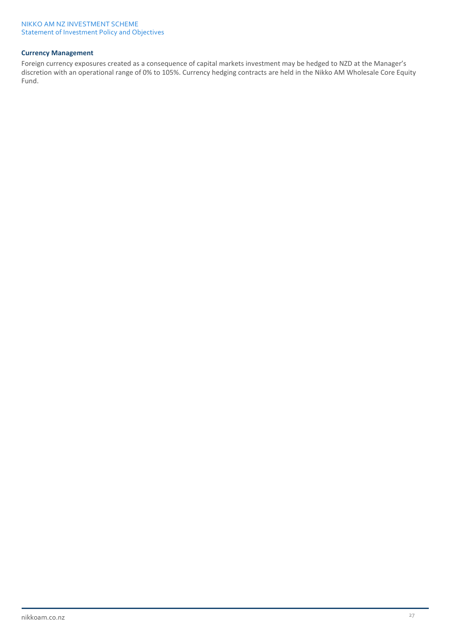### **Currency Management**

Foreign currency exposures created as a consequence of capital markets investment may be hedged to NZD at the Manager's discretion with an operational range of 0% to 105%. Currency hedging contracts are held in the Nikko AM Wholesale Core Equity Fund.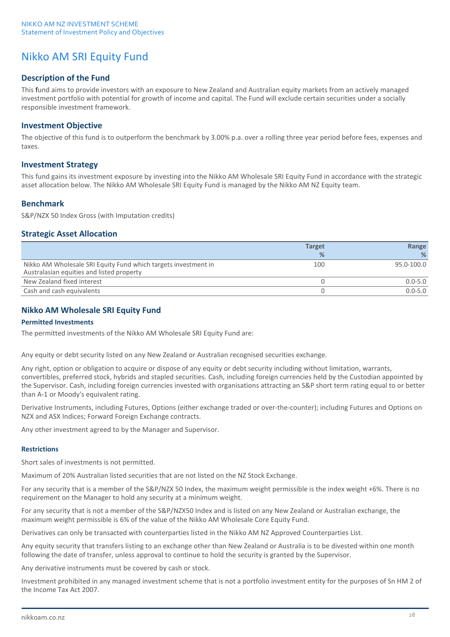## Nikko AM SRI Equity Fund

## **Description of the Fund**

This fund aims to provide investors with an exposure to New Zealand and Australian equity markets from an actively managed investment portfolio with potential for growth of income and capital. The Fund will exclude certain securities under a socially responsible investment framework.

## **Investment Objective**

The objective of this fund is to outperform the benchmark by 3.00% p.a. over a rolling three year period before fees, expenses and taxes.

## **Investment Strategy**

This fund gains its investment exposure by investing into the Nikko AM Wholesale SRI Equity Fund in accordance with the strategic asset allocation below. The Nikko AM Wholesale SRI Equity Fund is managed by the Nikko AM NZ Equity team.

## **Benchmark**

S&P/NZX 50 Index Gross (with Imputation credits)

## **Strategic Asset Allocation**

|                                                                                                             | <b>Target</b> | Range       |
|-------------------------------------------------------------------------------------------------------------|---------------|-------------|
|                                                                                                             | %             | %           |
| Nikko AM Wholesale SRI Equity Fund which targets investment in<br>Australasian equities and listed property | 100           | 95.0-100.0  |
| New Zealand fixed interest                                                                                  |               | $0.0 - 5.0$ |
| Cash and cash equivalents                                                                                   |               | $0.0 - 5.0$ |

## **Nikko AM Wholesale SRI Equity Fund**

### **Permitted Investments**

The permitted investments of the Nikko AM Wholesale SRI Equity Fund are:

Any equity or debt security listed on any New Zealand or Australian recognised securities exchange.

Any right, option or obligation to acquire or dispose of any equity or debt security including without limitation, warrants, convertibles, preferred stock, hybrids and stapled securities. Cash, including foreign currencies held by the Custodian appointed by the Supervisor. Cash, including foreign currencies invested with organisations attracting an S&P short term rating equal to or better than A-1 or Moody's equivalent rating.

Derivative Instruments, including Futures, Options (either exchange traded or over-the-counter); including Futures and Options on NZX and ASX Indices; Forward Foreign Exchange contracts.

Any other investment agreed to by the Manager and Supervisor.

### **Restrictions**

Short sales of investments is not permitted.

Maximum of 20% Australian listed securities that are not listed on the NZ Stock Exchange.

For any security that is a member of the S&P/NZX 50 Index, the maximum weight permissible is the index weight +6%. There is no requirement on the Manager to hold any security at a minimum weight.

For any security that is not a member of the S&P/NZX50 Index and is listed on any New Zealand or Australian exchange, the maximum weight permissible is 6% of the value of the Nikko AM Wholesale Core Equity Fund.

Derivatives can only be transacted with counterparties listed in the Nikko AM NZ Approved Counterparties List.

Any equity security that transfers listing to an exchange other than New Zealand or Australia is to be divested within one month following the date of transfer, unless approval to continue to hold the security is granted by the Supervisor.

Any derivative instruments must be covered by cash or stock.

Investment prohibited in any managed investment scheme that is not a portfolio investment entity for the purposes of Sn HM 2 of the Income Tax Act 2007.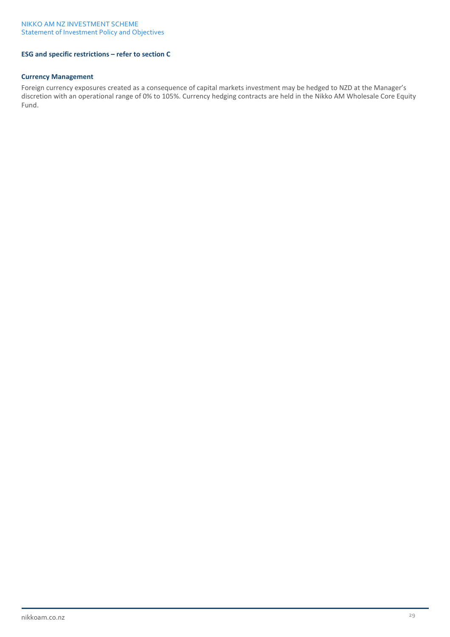## **ESG and specific restrictions – refer to section C**

### **Currency Management**

Foreign currency exposures created as a consequence of capital markets investment may be hedged to NZD at the Manager's discretion with an operational range of 0% to 105%. Currency hedging contracts are held in the Nikko AM Wholesale Core Equity Fund.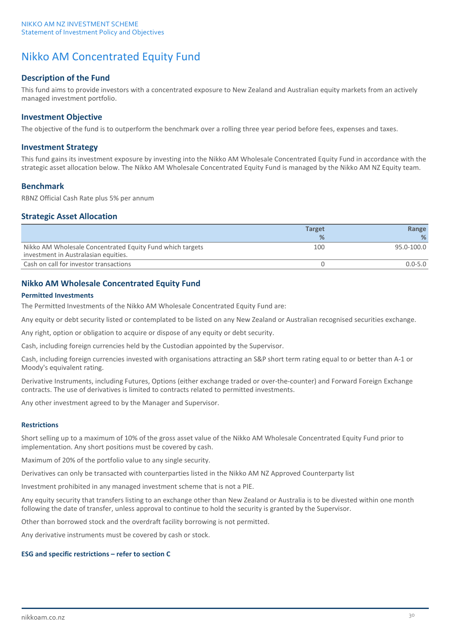## Nikko AM Concentrated Equity Fund

## **Description of the Fund**

This fund aims to provide investors with a concentrated exposure to New Zealand and Australian equity markets from an actively managed investment portfolio.

### **Investment Objective**

The objective of the fund is to outperform the benchmark over a rolling three year period before fees, expenses and taxes.

### **Investment Strategy**

This fund gains its investment exposure by investing into the Nikko AM Wholesale Concentrated Equity Fund in accordance with the strategic asset allocation below. The Nikko AM Wholesale Concentrated Equity Fund is managed by the Nikko AM NZ Equity team.

### **Benchmark**

RBNZ Official Cash Rate plus 5% per annum

### **Strategic Asset Allocation**

|                                                                                                   | <b>Target</b> | Range       |
|---------------------------------------------------------------------------------------------------|---------------|-------------|
|                                                                                                   | $\frac{9}{6}$ | %           |
| Nikko AM Wholesale Concentrated Equity Fund which targets<br>investment in Australasian equities. | 100           | 95.0-100.0  |
| Cash on call for investor transactions                                                            |               | $0.0 - 5.0$ |
|                                                                                                   |               |             |

## **Nikko AM Wholesale Concentrated Equity Fund**

### **Permitted Investments**

The Permitted Investments of the Nikko AM Wholesale Concentrated Equity Fund are:

Any equity or debt security listed or contemplated to be listed on any New Zealand or Australian recognised securities exchange.

Any right, option or obligation to acquire or dispose of any equity or debt security.

Cash, including foreign currencies held by the Custodian appointed by the Supervisor.

Cash, including foreign currencies invested with organisations attracting an S&P short term rating equal to or better than A-1 or Moody's equivalent rating.

Derivative Instruments, including Futures, Options (either exchange traded or over-the-counter) and Forward Foreign Exchange contracts. The use of derivatives is limited to contracts related to permitted investments.

Any other investment agreed to by the Manager and Supervisor.

#### **Restrictions**

Short selling up to a maximum of 10% of the gross asset value of the Nikko AM Wholesale Concentrated Equity Fund prior to implementation. Any short positions must be covered by cash.

Maximum of 20% of the portfolio value to any single security.

Derivatives can only be transacted with counterparties listed in the Nikko AM NZ Approved Counterparty list

Investment prohibited in any managed investment scheme that is not a PIE.

Any equity security that transfers listing to an exchange other than New Zealand or Australia is to be divested within one month following the date of transfer, unless approval to continue to hold the security is granted by the Supervisor.

Other than borrowed stock and the overdraft facility borrowing is not permitted.

Any derivative instruments must be covered by cash or stock.

#### **ESG and specific restrictions – refer to section C**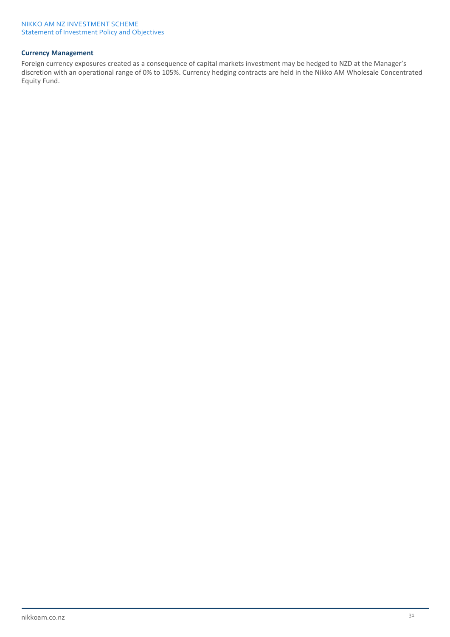## **Currency Management**

Foreign currency exposures created as a consequence of capital markets investment may be hedged to NZD at the Manager's discretion with an operational range of 0% to 105%. Currency hedging contracts are held in the Nikko AM Wholesale Concentrated Equity Fund.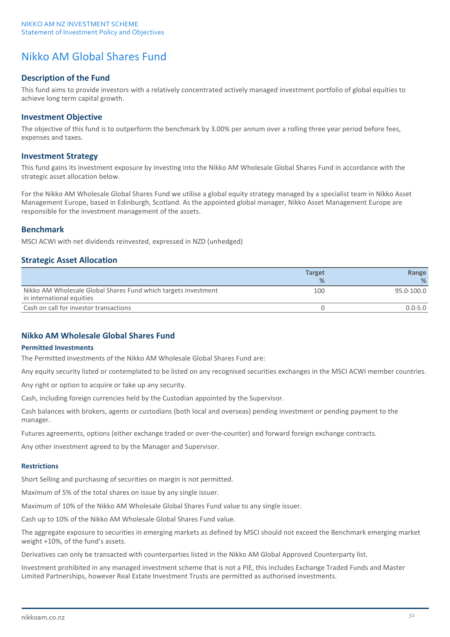## Nikko AM Global Shares Fund

## **Description of the Fund**

This fund aims to provide investors with a relatively concentrated actively managed investment portfolio of global equities to achieve long term capital growth.

### **Investment Objective**

The objective of this fund is to outperform the benchmark by 3.00% per annum over a rolling three year period before fees, expenses and taxes.

### **Investment Strategy**

This fund gains its investment exposure by investing into the Nikko AM Wholesale Global Shares Fund in accordance with the strategic asset allocation below.

For the Nikko AM Wholesale Global Shares Fund we utilise a global equity strategy managed by a specialist team in Nikko Asset Management Europe, based in Edinburgh, Scotland. As the appointed global manager, Nikko Asset Management Europe are responsible for the investment management of the assets.

## **Benchmark**

MSCI ACWI with net dividends reinvested, expressed in NZD (unhedged)

## **Strategic Asset Allocation**

|                                                                                             | <b>Target</b> | Range       |
|---------------------------------------------------------------------------------------------|---------------|-------------|
|                                                                                             | $\frac{9}{6}$ | %           |
| Nikko AM Wholesale Global Shares Fund which targets investment<br>in international equities | 100           | 95.0-100.0  |
| Cash on call for investor transactions                                                      |               | $0.0 - 5.0$ |

## **Nikko AM Wholesale Global Shares Fund**

#### **Permitted Investments**

The Permitted Investments of the Nikko AM Wholesale Global Shares Fund are:

Any equity security listed or contemplated to be listed on any recognised securities exchanges in the MSCI ACWI member countries.

Any right or option to acquire or take up any security.

Cash, including foreign currencies held by the Custodian appointed by the Supervisor.

Cash balances with brokers, agents or custodians (both local and overseas) pending investment or pending payment to the manager.

Futures agreements, options (either exchange traded or over-the-counter) and forward foreign exchange contracts.

Any other investment agreed to by the Manager and Supervisor.

#### **Restrictions**

Short Selling and purchasing of securities on margin is not permitted.

Maximum of 5% of the total shares on issue by any single issuer.

Maximum of 10% of the Nikko AM Wholesale Global Shares Fund value to any single issuer.

Cash up to 10% of the Nikko AM Wholesale Global Shares Fund value.

The aggregate exposure to securities in emerging markets as defined by MSCI should not exceed the Benchmark emerging market weight +10%, of the fund's assets.

Derivatives can only be transacted with counterparties listed in the Nikko AM Global Approved Counterparty list.

Investment prohibited in any managed investment scheme that is not a PIE, this includes Exchange Traded Funds and Master Limited Partnerships, however Real Estate Investment Trusts are permitted as authorised investments.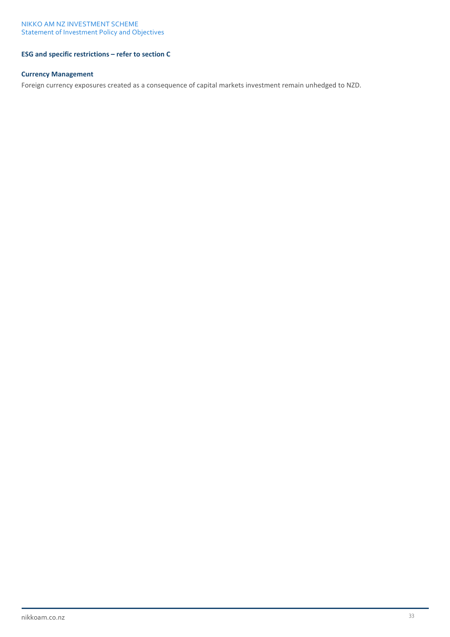## **ESG and specific restrictions – refer to section C**

### **Currency Management**

Foreign currency exposures created as a consequence of capital markets investment remain unhedged to NZD.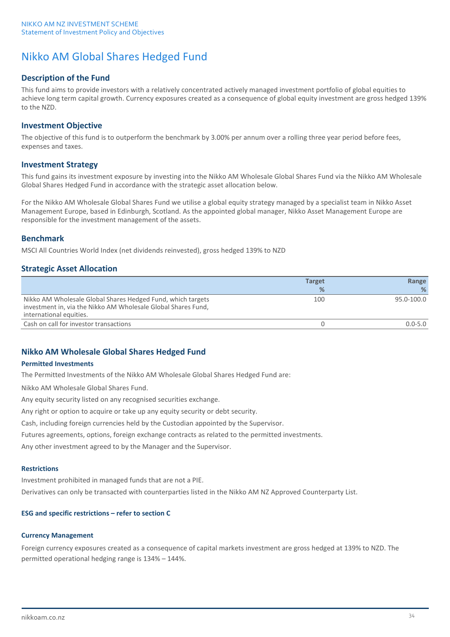## Nikko AM Global Shares Hedged Fund

## **Description of the Fund**

This fund aims to provide investors with a relatively concentrated actively managed investment portfolio of global equities to achieve long term capital growth. Currency exposures created as a consequence of global equity investment are gross hedged 139% to the NZD.

## **Investment Objective**

The objective of this fund is to outperform the benchmark by 3.00% per annum over a rolling three year period before fees, expenses and taxes.

## **Investment Strategy**

This fund gains its investment exposure by investing into the Nikko AM Wholesale Global Shares Fund via the Nikko AM Wholesale Global Shares Hedged Fund in accordance with the strategic asset allocation below.

For the Nikko AM Wholesale Global Shares Fund we utilise a global equity strategy managed by a specialist team in Nikko Asset Management Europe, based in Edinburgh, Scotland. As the appointed global manager, Nikko Asset Management Europe are responsible for the investment management of the assets.

## **Benchmark**

MSCI All Countries World Index (net dividends reinvested), gross hedged 139% to NZD

## **Strategic Asset Allocation**

|                                                                                                                                                         | Target | Range       |
|---------------------------------------------------------------------------------------------------------------------------------------------------------|--------|-------------|
|                                                                                                                                                         | %      | %           |
| Nikko AM Wholesale Global Shares Hedged Fund, which targets<br>investment in, via the Nikko AM Wholesale Global Shares Fund,<br>international equities. | 100    | 95.0-100.0  |
| Cash on call for investor transactions                                                                                                                  |        | $0.0 - 5.0$ |

## **Nikko AM Wholesale Global Shares Hedged Fund**

### **Permitted Investments**

The Permitted Investments of the Nikko AM Wholesale Global Shares Hedged Fund are:

Nikko AM Wholesale Global Shares Fund.

Any equity security listed on any recognised securities exchange.

Any right or option to acquire or take up any equity security or debt security.

Cash, including foreign currencies held by the Custodian appointed by the Supervisor.

Futures agreements, options, foreign exchange contracts as related to the permitted investments.

Any other investment agreed to by the Manager and the Supervisor.

### **Restrictions**

Investment prohibited in managed funds that are not a PIE.

Derivatives can only be transacted with counterparties listed in the Nikko AM NZ Approved Counterparty List.

### **ESG and specific restrictions – refer to section C**

### **Currency Management**

Foreign currency exposures created as a consequence of capital markets investment are gross hedged at 139% to NZD. The permitted operational hedging range is 134% – 144%.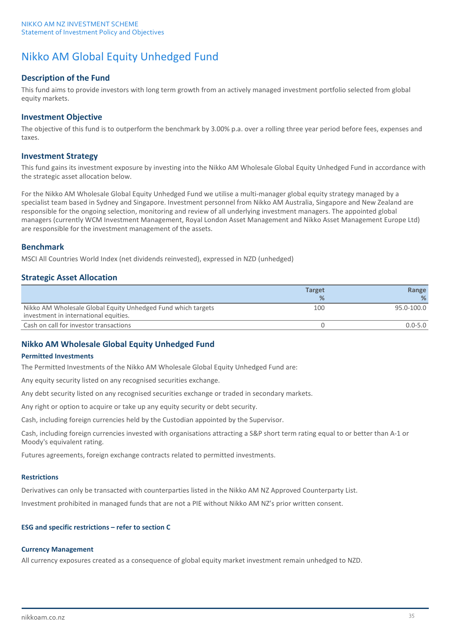## Nikko AM Global Equity Unhedged Fund

## **Description of the Fund**

This fund aims to provide investors with long term growth from an actively managed investment portfolio selected from global equity markets.

## **Investment Objective**

The objective of this fund is to outperform the benchmark by 3.00% p.a. over a rolling three year period before fees, expenses and taxes.

### **Investment Strategy**

This fund gains its investment exposure by investing into the Nikko AM Wholesale Global Equity Unhedged Fund in accordance with the strategic asset allocation below.

For the Nikko AM Wholesale Global Equity Unhedged Fund we utilise a multi-manager global equity strategy managed by a specialist team based in Sydney and Singapore. Investment personnel from Nikko AM Australia, Singapore and New Zealand are responsible for the ongoing selection, monitoring and review of all underlying investment managers. The appointed global managers (currently WCM Investment Management, Royal London Asset Management and Nikko Asset Management Europe Ltd) are responsible for the investment management of the assets.

## **Benchmark**

MSCI All Countries World Index (net dividends reinvested), expressed in NZD (unhedged)

## **Strategic Asset Allocation**

|                                                                                                       | <b>Target</b> | Range       |
|-------------------------------------------------------------------------------------------------------|---------------|-------------|
|                                                                                                       | $\frac{9}{6}$ | ℅           |
| Nikko AM Wholesale Global Equity Unhedged Fund which targets<br>investment in international equities. | 100           | 95.0-100.0  |
| Cash on call for investor transactions                                                                |               | $0.0 - 5.0$ |

## **Nikko AM Wholesale Global Equity Unhedged Fund**

### **Permitted Investments**

The Permitted Investments of the Nikko AM Wholesale Global Equity Unhedged Fund are:

Any equity security listed on any recognised securities exchange.

Any debt security listed on any recognised securities exchange or traded in secondary markets.

Any right or option to acquire or take up any equity security or debt security.

Cash, including foreign currencies held by the Custodian appointed by the Supervisor.

Cash, including foreign currencies invested with organisations attracting a S&P short term rating equal to or better than A-1 or Moody's equivalent rating.

Futures agreements, foreign exchange contracts related to permitted investments.

### **Restrictions**

Derivatives can only be transacted with counterparties listed in the Nikko AM NZ Approved Counterparty List.

Investment prohibited in managed funds that are not a PIE without Nikko AM NZ's prior written consent.

### **ESG and specific restrictions – refer to section C**

### **Currency Management**

All currency exposures created as a consequence of global equity market investment remain unhedged to NZD.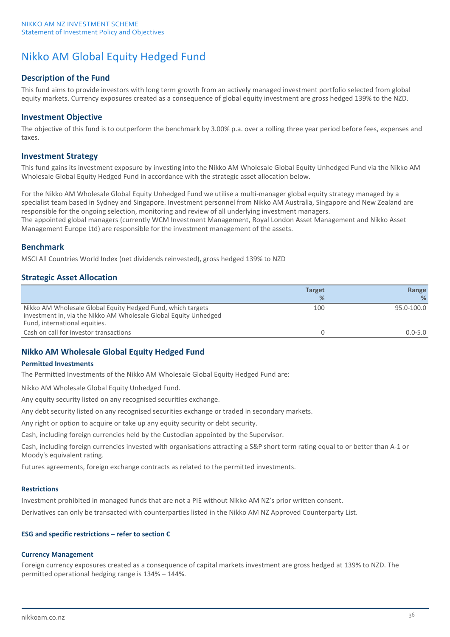## Nikko AM Global Equity Hedged Fund

## **Description of the Fund**

This fund aims to provide investors with long term growth from an actively managed investment portfolio selected from global equity markets. Currency exposures created as a consequence of global equity investment are gross hedged 139% to the NZD.

## **Investment Objective**

The objective of this fund is to outperform the benchmark by 3.00% p.a. over a rolling three year period before fees, expenses and taxes.

## **Investment Strategy**

This fund gains its investment exposure by investing into the Nikko AM Wholesale Global Equity Unhedged Fund via the Nikko AM Wholesale Global Equity Hedged Fund in accordance with the strategic asset allocation below.

For the Nikko AM Wholesale Global Equity Unhedged Fund we utilise a multi-manager global equity strategy managed by a specialist team based in Sydney and Singapore. Investment personnel from Nikko AM Australia, Singapore and New Zealand are responsible for the ongoing selection, monitoring and review of all underlying investment managers. The appointed global managers (currently WCM Investment Management, Royal London Asset Management and Nikko Asset Management Europe Ltd) are responsible for the investment management of the assets.

## **Benchmark**

MSCI All Countries World Index (net dividends reinvested), gross hedged 139% to NZD

## **Strategic Asset Allocation**

|                                                                                                                                                                  | <b>Target</b> | Range       |
|------------------------------------------------------------------------------------------------------------------------------------------------------------------|---------------|-------------|
|                                                                                                                                                                  | $\%$          | ℅           |
| Nikko AM Wholesale Global Equity Hedged Fund, which targets<br>investment in, via the Nikko AM Wholesale Global Equity Unhedged<br>Fund, international equities. | 100           | 95.0-100.0  |
| Cash on call for investor transactions                                                                                                                           |               | $0.0 - 5.0$ |

## **Nikko AM Wholesale Global Equity Hedged Fund**

### **Permitted Investments**

The Permitted Investments of the Nikko AM Wholesale Global Equity Hedged Fund are:

Nikko AM Wholesale Global Equity Unhedged Fund.

Any equity security listed on any recognised securities exchange.

Any debt security listed on any recognised securities exchange or traded in secondary markets.

Any right or option to acquire or take up any equity security or debt security.

Cash, including foreign currencies held by the Custodian appointed by the Supervisor.

Cash, including foreign currencies invested with organisations attracting a S&P short term rating equal to or better than A-1 or Moody's equivalent rating.

Futures agreements, foreign exchange contracts as related to the permitted investments.

### **Restrictions**

Investment prohibited in managed funds that are not a PIE without Nikko AM NZ's prior written consent.

Derivatives can only be transacted with counterparties listed in the Nikko AM NZ Approved Counterparty List.

### **ESG and specific restrictions – refer to section C**

### **Currency Management**

Foreign currency exposures created as a consequence of capital markets investment are gross hedged at 139% to NZD. The permitted operational hedging range is 134% – 144%.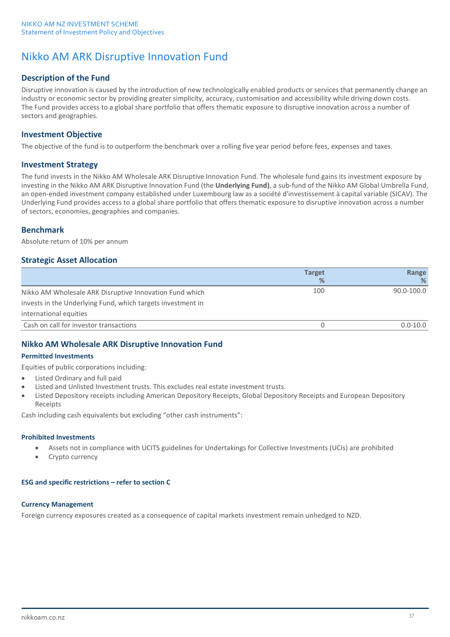## Nikko AM ARK Disruptive Innovation Fund

## **Description of the Fund**

Disruptive innovation is caused by the introduction of new technologically enabled products or services that permanently change an industry or economic sector by providing greater simplicity, accuracy, customisation and accessibility while driving down costs. The Fund provides access to a global share portfolio that offers thematic exposure to disruptive innovation across a number of sectors and geographies.

## **Investment Objective**

The objective of the fund is to outperform the benchmark over a rolling five year period before fees, expenses and taxes.

## **Investment Strategy**

The fund invests in the Nikko AM Wholesale ARK Disruptive Innovation Fund. The wholesale fund gains its investment exposure by investing in the Nikko AM ARK Disruptive Innovation Fund (the **Underlying Fund)**, a sub-fund of the Nikko AM Global Umbrella Fund, an open-ended investment company established under Luxembourg law as a société d'investissement à capital variable (SICAV). The Underlying Fund provides access to a global share portfolio that offers thematic exposure to disruptive innovation across a number of sectors, economies, geographies and companies.

## **Benchmark**

Absolute return of 10% per annum

## **Strategic Asset Allocation**

|                                                             | <b>Target</b> | Range          |
|-------------------------------------------------------------|---------------|----------------|
|                                                             | %             | ℅              |
| Nikko AM Wholesale ARK Disruptive Innovation Fund which     | 100           | $90.0 - 100.0$ |
| invests in the Underlying Fund, which targets investment in |               |                |
| international equities                                      |               |                |
| Cash on call for investor transactions                      |               | $0.0 - 10.0$   |

## **Nikko AM Wholesale ARK Disruptive Innovation Fund**

### **Permitted Investments**

Equities of public corporations including:

- Listed Ordinary and full paid
- Listed and Unlisted Investment trusts. This excludes real estate investment trusts.
- Listed Depository receipts including American Depository Receipts, Global Depository Receipts and European Depository Receipts

Cash including cash equivalents but excluding "other cash instruments":

### **Prohibited Investments**

- Assets not in compliance with UCITS guidelines for Undertakings for Collective Investments (UCIs) are prohibited
- Crypto currency

## **ESG and specific restrictions – refer to section C**

## **Currency Management**

Foreign currency exposures created as a consequence of capital markets investment remain unhedged to NZD.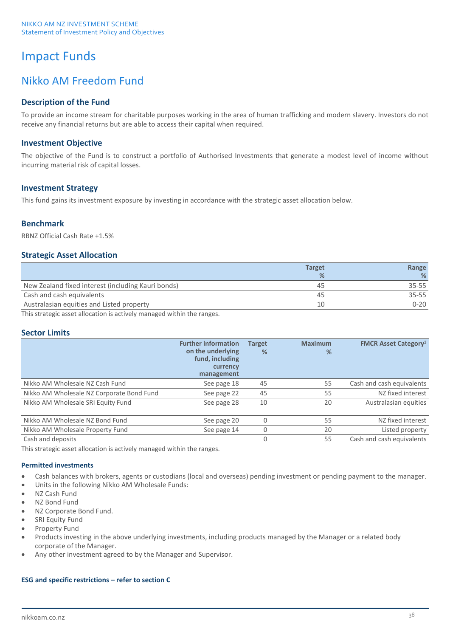# Impact Funds

## Nikko AM Freedom Fund

## **Description of the Fund**

To provide an income stream for charitable purposes working in the area of human trafficking and modern slavery. Investors do not receive any financial returns but are able to access their capital when required.

## **Investment Objective**

The objective of the Fund is to construct a portfolio of Authorised Investments that generate a modest level of income without incurring material risk of capital losses.

## **Investment Strategy**

This fund gains its investment exposure by investing in accordance with the strategic asset allocation below.

## **Benchmark**

RBNZ Official Cash Rate +1.5%

## **Strategic Asset Allocation**

|                                                    | <b>Target</b> | Range     |
|----------------------------------------------------|---------------|-----------|
|                                                    | $\frac{9}{6}$ | %         |
| New Zealand fixed interest (including Kauri bonds) | 45            | $35 - 55$ |
| Cash and cash equivalents                          | 45            | $35 - 55$ |
| Australasian equities and Listed property          | 10            | $0 - 20$  |

This strategic asset allocation is actively managed within the ranges.

## **Sector Limits**

|                                           | <b>Further information</b><br>on the underlying<br>fund, including<br>currency<br>management | <b>Target</b><br>% | <b>Maximum</b><br>% | <b>FMCR Asset Category<sup>1</sup></b> |
|-------------------------------------------|----------------------------------------------------------------------------------------------|--------------------|---------------------|----------------------------------------|
| Nikko AM Wholesale NZ Cash Fund           | See page 18                                                                                  | 45                 | 55                  | Cash and cash equivalents              |
| Nikko AM Wholesale NZ Corporate Bond Fund | See page 22                                                                                  | 45                 | 55                  | NZ fixed interest                      |
| Nikko AM Wholesale SRI Equity Fund        | See page 28                                                                                  | 10                 | 20                  | Australasian equities                  |
| Nikko AM Wholesale NZ Bond Fund           | See page 20                                                                                  | 0                  | 55                  | NZ fixed interest                      |
| Nikko AM Wholesale Property Fund          | See page 14                                                                                  | 0                  | 20                  | Listed property                        |
| Cash and deposits                         |                                                                                              | $\Omega$           | 55                  | Cash and cash equivalents              |

This strategic asset allocation is actively managed within the ranges.

### **Permitted investments**

- Cash balances with brokers, agents or custodians (local and overseas) pending investment or pending payment to the manager.
- Units in the following Nikko AM Wholesale Funds:
- NZ Cash Fund
- NZ Bond Fund
- NZ Corporate Bond Fund.
- **SRI Equity Fund**
- Property Fund
- Products investing in the above underlying investments, including products managed by the Manager or a related body corporate of the Manager.
- Any other investment agreed to by the Manager and Supervisor.

### **ESG and specific restrictions – refer to section C**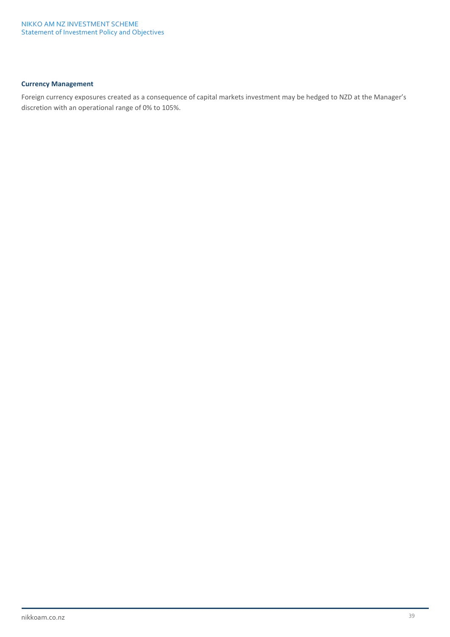## **Currency Management**

Foreign currency exposures created as a consequence of capital markets investment may be hedged to NZD at the Manager's discretion with an operational range of 0% to 105%.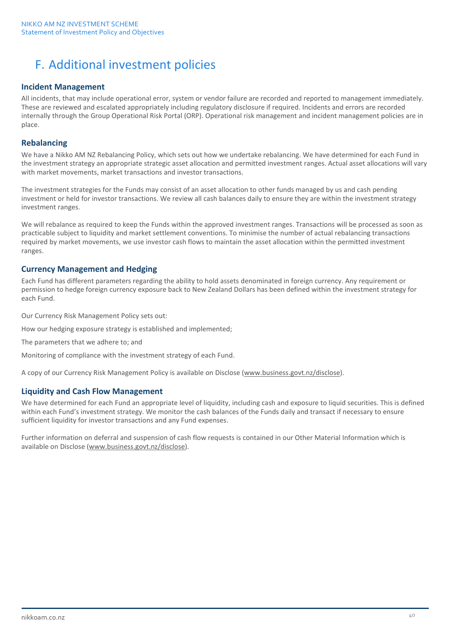# F. Additional investment policies

## **Incident Management**

All incidents, that may include operational error, system or vendor failure are recorded and reported to management immediately. These are reviewed and escalated appropriately including regulatory disclosure if required. Incidents and errors are recorded internally through the Group Operational Risk Portal (ORP). Operational risk management and incident management policies are in place.

## **Rebalancing**

We have a Nikko AM NZ Rebalancing Policy, which sets out how we undertake rebalancing. We have determined for each Fund in the investment strategy an appropriate strategic asset allocation and permitted investment ranges. Actual asset allocations will vary with market movements, market transactions and investor transactions.

The investment strategies for the Funds may consist of an asset allocation to other funds managed by us and cash pending investment or held for investor transactions. We review all cash balances daily to ensure they are within the investment strategy investment ranges.

We will rebalance as required to keep the Funds within the approved investment ranges. Transactions will be processed as soon as practicable subject to liquidity and market settlement conventions. To minimise the number of actual rebalancing transactions required by market movements, we use investor cash flows to maintain the asset allocation within the permitted investment ranges.

## **Currency Management and Hedging**

Each Fund has different parameters regarding the ability to hold assets denominated in foreign currency. Any requirement or permission to hedge foreign currency exposure back to New Zealand Dollars has been defined within the investment strategy for each Fund.

Our Currency Risk Management Policy sets out:

How our hedging exposure strategy is established and implemented;

The parameters that we adhere to; and

Monitoring of compliance with the investment strategy of each Fund.

A copy of our Currency Risk Management Policy is available on Disclose [\(www.business.govt.nz/disclose\)](http://www.business.govt.nz/disclose).

## **Liquidity and Cash Flow Management**

We have determined for each Fund an appropriate level of liquidity, including cash and exposure to liquid securities. This is defined within each Fund's investment strategy. We monitor the cash balances of the Funds daily and transact if necessary to ensure sufficient liquidity for investor transactions and any Fund expenses.

Further information on deferral and suspension of cash flow requests is contained in our Other Material Information which is available on Disclose [\(www.business.govt.nz/disclose\)](http://www.business.govt.nz/disclose).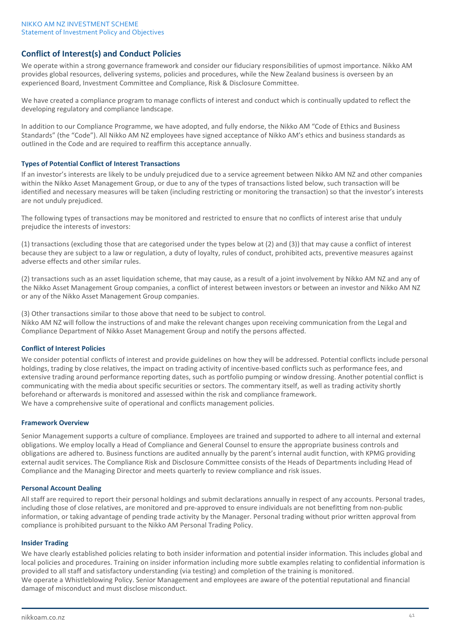## **Conflict of Interest(s) and Conduct Policies**

We operate within a strong governance framework and consider our fiduciary responsibilities of upmost importance. Nikko AM provides global resources, delivering systems, policies and procedures, while the New Zealand business is overseen by an experienced Board, Investment Committee and Compliance, Risk & Disclosure Committee.

We have created a compliance program to manage conflicts of interest and conduct which is continually updated to reflect the developing regulatory and compliance landscape.

In addition to our Compliance Programme, we have adopted, and fully endorse, the Nikko AM "Code of Ethics and Business Standards" (the "Code"). All Nikko AM NZ employees have signed acceptance of Nikko AM's ethics and business standards as outlined in the Code and are required to reaffirm this acceptance annually.

### **Types of Potential Conflict of Interest Transactions**

If an investor's interests are likely to be unduly prejudiced due to a service agreement between Nikko AM NZ and other companies within the Nikko Asset Management Group, or due to any of the types of transactions listed below, such transaction will be identified and necessary measures will be taken (including restricting or monitoring the transaction) so that the investor's interests are not unduly prejudiced.

The following types of transactions may be monitored and restricted to ensure that no conflicts of interest arise that unduly prejudice the interests of investors:

(1) transactions (excluding those that are categorised under the types below at (2) and (3)) that may cause a conflict of interest because they are subject to a law or regulation, a duty of loyalty, rules of conduct, prohibited acts, preventive measures against adverse effects and other similar rules.

(2) transactions such as an asset liquidation scheme, that may cause, as a result of a joint involvement by Nikko AM NZ and any of the Nikko Asset Management Group companies, a conflict of interest between investors or between an investor and Nikko AM NZ or any of the Nikko Asset Management Group companies.

(3) Other transactions similar to those above that need to be subject to control. Nikko AM NZ will follow the instructions of and make the relevant changes upon receiving communication from the Legal and Compliance Department of Nikko Asset Management Group and notify the persons affected.

### **Conflict of Interest Policies**

We consider potential conflicts of interest and provide guidelines on how they will be addressed. Potential conflicts include personal holdings, trading by close relatives, the impact on trading activity of incentive-based conflicts such as performance fees, and extensive trading around performance reporting dates, such as portfolio pumping or window dressing. Another potential conflict is communicating with the media about specific securities or sectors. The commentary itself, as well as trading activity shortly beforehand or afterwards is monitored and assessed within the risk and compliance framework. We have a comprehensive suite of operational and conflicts management policies.

### **Framework Overview**

Senior Management supports a culture of compliance. Employees are trained and supported to adhere to all internal and external obligations. We employ locally a Head of Compliance and General Counsel to ensure the appropriate business controls and obligations are adhered to. Business functions are audited annually by the parent's internal audit function, with KPMG providing external audit services. The Compliance Risk and Disclosure Committee consists of the Heads of Departments including Head of Compliance and the Managing Director and meets quarterly to review compliance and risk issues.

### **Personal Account Dealing**

All staff are required to report their personal holdings and submit declarations annually in respect of any accounts. Personal trades, including those of close relatives, are monitored and pre-approved to ensure individuals are not benefitting from non-public information, or taking advantage of pending trade activity by the Manager. Personal trading without prior written approval from compliance is prohibited pursuant to the Nikko AM Personal Trading Policy.

### **Insider Trading**

We have clearly established policies relating to both insider information and potential insider information. This includes global and local policies and procedures. Training on insider information including more subtle examples relating to confidential information is provided to all staff and satisfactory understanding (via testing) and completion of the training is monitored. We operate a Whistleblowing Policy. Senior Management and employees are aware of the potential reputational and financial damage of misconduct and must disclose misconduct.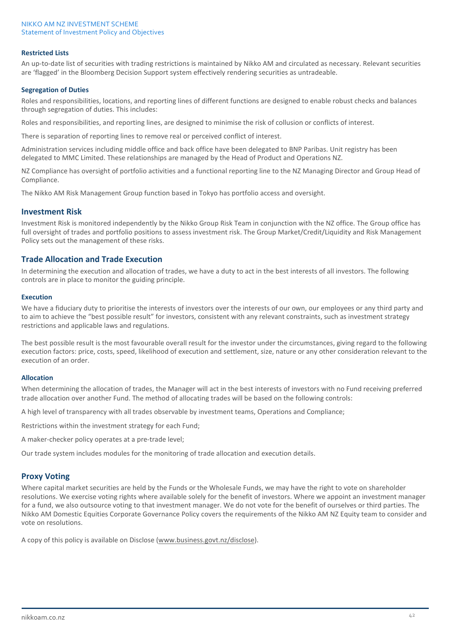### **Restricted Lists**

An up-to-date list of securities with trading restrictions is maintained by Nikko AM and circulated as necessary. Relevant securities are 'flagged' in the Bloomberg Decision Support system effectively rendering securities as untradeable.

#### **Segregation of Duties**

Roles and responsibilities, locations, and reporting lines of different functions are designed to enable robust checks and balances through segregation of duties. This includes:

Roles and responsibilities, and reporting lines, are designed to minimise the risk of collusion or conflicts of interest.

There is separation of reporting lines to remove real or perceived conflict of interest.

Administration services including middle office and back office have been delegated to BNP Paribas. Unit registry has been delegated to MMC Limited. These relationships are managed by the Head of Product and Operations NZ.

NZ Compliance has oversight of portfolio activities and a functional reporting line to the NZ Managing Director and Group Head of Compliance.

The Nikko AM Risk Management Group function based in Tokyo has portfolio access and oversight.

## **Investment Risk**

Investment Risk is monitored independently by the Nikko Group Risk Team in conjunction with the NZ office. The Group office has full oversight of trades and portfolio positions to assess investment risk. The Group Market/Credit/Liquidity and Risk Management Policy sets out the management of these risks.

### **Trade Allocation and Trade Execution**

In determining the execution and allocation of trades, we have a duty to act in the best interests of all investors. The following controls are in place to monitor the guiding principle.

#### **Execution**

We have a fiduciary duty to prioritise the interests of investors over the interests of our own, our employees or any third party and to aim to achieve the "best possible result" for investors, consistent with any relevant constraints, such as investment strategy restrictions and applicable laws and regulations.

The best possible result is the most favourable overall result for the investor under the circumstances, giving regard to the following execution factors: price, costs, speed, likelihood of execution and settlement, size, nature or any other consideration relevant to the execution of an order.

#### **Allocation**

When determining the allocation of trades, the Manager will act in the best interests of investors with no Fund receiving preferred trade allocation over another Fund. The method of allocating trades will be based on the following controls:

A high level of transparency with all trades observable by investment teams, Operations and Compliance;

Restrictions within the investment strategy for each Fund;

A maker-checker policy operates at a pre-trade level;

Our trade system includes modules for the monitoring of trade allocation and execution details.

### **Proxy Voting**

Where capital market securities are held by the Funds or the Wholesale Funds, we may have the right to vote on shareholder resolutions. We exercise voting rights where available solely for the benefit of investors. Where we appoint an investment manager for a fund, we also outsource voting to that investment manager. We do not vote for the benefit of ourselves or third parties. The Nikko AM Domestic Equities Corporate Governance Policy covers the requirements of the Nikko AM NZ Equity team to consider and vote on resolutions.

A copy of this policy is available on Disclose [\(www.business.govt.nz/disclose\)](http://www.business.govt.nz/disclose).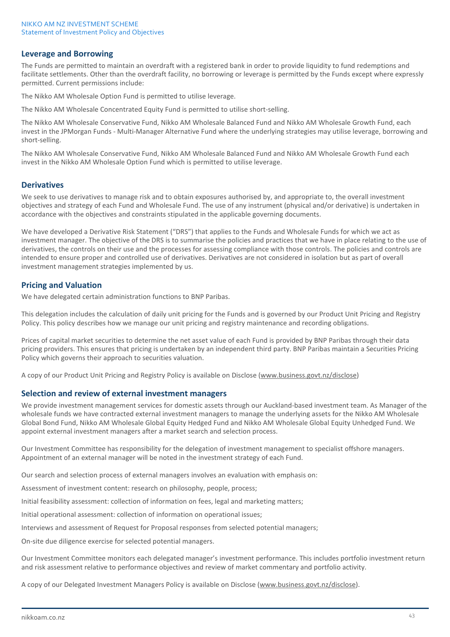## **Leverage and Borrowing**

The Funds are permitted to maintain an overdraft with a registered bank in order to provide liquidity to fund redemptions and facilitate settlements. Other than the overdraft facility, no borrowing or leverage is permitted by the Funds except where expressly permitted. Current permissions include:

The Nikko AM Wholesale Option Fund is permitted to utilise leverage.

The Nikko AM Wholesale Concentrated Equity Fund is permitted to utilise short-selling.

The Nikko AM Wholesale Conservative Fund, Nikko AM Wholesale Balanced Fund and Nikko AM Wholesale Growth Fund, each invest in the JPMorgan Funds - Multi-Manager Alternative Fund where the underlying strategies may utilise leverage, borrowing and short-selling.

The Nikko AM Wholesale Conservative Fund, Nikko AM Wholesale Balanced Fund and Nikko AM Wholesale Growth Fund each invest in the Nikko AM Wholesale Option Fund which is permitted to utilise leverage.

## **Derivatives**

We seek to use derivatives to manage risk and to obtain exposures authorised by, and appropriate to, the overall investment objectives and strategy of each Fund and Wholesale Fund. The use of any instrument (physical and/or derivative) is undertaken in accordance with the objectives and constraints stipulated in the applicable governing documents.

We have developed a Derivative Risk Statement ("DRS") that applies to the Funds and Wholesale Funds for which we act as investment manager. The objective of the DRS is to summarise the policies and practices that we have in place relating to the use of derivatives, the controls on their use and the processes for assessing compliance with those controls. The policies and controls are intended to ensure proper and controlled use of derivatives. Derivatives are not considered in isolation but as part of overall investment management strategies implemented by us.

## **Pricing and Valuation**

We have delegated certain administration functions to BNP Paribas.

This delegation includes the calculation of daily unit pricing for the Funds and is governed by our Product Unit Pricing and Registry Policy. This policy describes how we manage our unit pricing and registry maintenance and recording obligations.

Prices of capital market securities to determine the net asset value of each Fund is provided by BNP Paribas through their data pricing providers. This ensures that pricing is undertaken by an independent third party. BNP Paribas maintain a Securities Pricing Policy which governs their approach to securities valuation.

A copy of our Product Unit Pricing and Registry Policy is available on Disclose [\(www.business.govt.nz/disclose\)](http://www.business.govt.nz/disclose)

## **Selection and review of external investment managers**

We provide investment management services for domestic assets through our Auckland-based investment team. As Manager of the wholesale funds we have contracted external investment managers to manage the underlying assets for the Nikko AM Wholesale Global Bond Fund, Nikko AM Wholesale Global Equity Hedged Fund and Nikko AM Wholesale Global Equity Unhedged Fund. We appoint external investment managers after a market search and selection process.

Our Investment Committee has responsibility for the delegation of investment management to specialist offshore managers. Appointment of an external manager will be noted in the investment strategy of each Fund.

Our search and selection process of external managers involves an evaluation with emphasis on:

Assessment of investment content: research on philosophy, people, process;

Initial feasibility assessment: collection of information on fees, legal and marketing matters;

Initial operational assessment: collection of information on operational issues;

Interviews and assessment of Request for Proposal responses from selected potential managers;

On-site due diligence exercise for selected potential managers.

Our Investment Committee monitors each delegated manager's investment performance. This includes portfolio investment return and risk assessment relative to performance objectives and review of market commentary and portfolio activity.

A copy of our Delegated Investment Managers Policy is available on Disclose [\(www.business.govt.nz/disclose\)](http://www.business.govt.nz/disclose).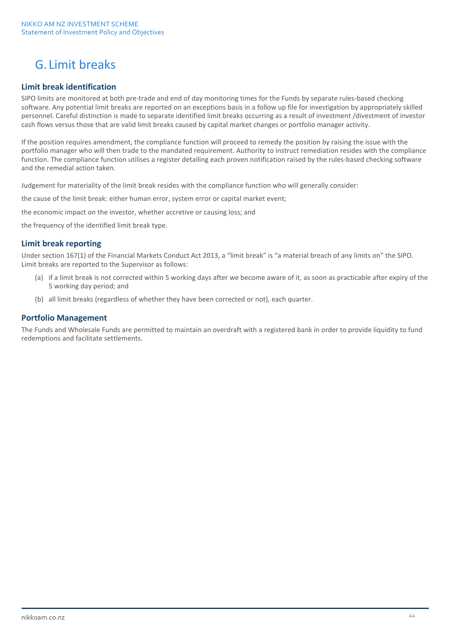# G. Limit breaks

## **Limit break identification**

SIPO limits are monitored at both pre-trade and end of day monitoring times for the Funds by separate rules-based checking software. Any potential limit breaks are reported on an exceptions basis in a follow up file for investigation by appropriately skilled personnel. Careful distinction is made to separate identified limit breaks occurring as a result of investment /divestment of investor cash flows versus those that are valid limit breaks caused by capital market changes or portfolio manager activity.

If the position requires amendment, the compliance function will proceed to remedy the position by raising the issue with the portfolio manager who will then trade to the mandated requirement. Authority to instruct remediation resides with the compliance function. The compliance function utilises a register detailing each proven notification raised by the rules-based checking software and the remedial action taken.

Judgement for materiality of the limit break resides with the compliance function who will generally consider:

the cause of the limit break: either human error, system error or capital market event;

the economic impact on the investor, whether accretive or causing loss; and

the frequency of the identified limit break type.

## **Limit break reporting**

Under section 167(1) of the Financial Markets Conduct Act 2013, a "limit break" is "a material breach of any limits on" the SIPO. Limit breaks are reported to the Supervisor as follows:

- (a) if a limit break is not corrected within 5 working days after we become aware of it, as soon as practicable after expiry of the 5 working day period; and
- (b) all limit breaks (regardless of whether they have been corrected or not), each quarter.

## **Portfolio Management**

The Funds and Wholesale Funds are permitted to maintain an overdraft with a registered bank in order to provide liquidity to fund redemptions and facilitate settlements.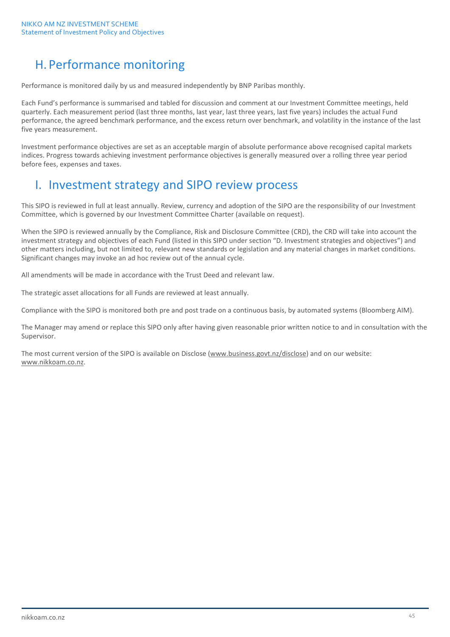# H.Performance monitoring

Performance is monitored daily by us and measured independently by BNP Paribas monthly.

Each Fund's performance is summarised and tabled for discussion and comment at our Investment Committee meetings, held quarterly. Each measurement period (last three months, last year, last three years, last five years) includes the actual Fund performance, the agreed benchmark performance, and the excess return over benchmark, and volatility in the instance of the last five years measurement.

Investment performance objectives are set as an acceptable margin of absolute performance above recognised capital markets indices. Progress towards achieving investment performance objectives is generally measured over a rolling three year period before fees, expenses and taxes.

## I. Investment strategy and SIPO review process

This SIPO is reviewed in full at least annually. Review, currency and adoption of the SIPO are the responsibility of our Investment Committee, which is governed by our Investment Committee Charter (available on request).

When the SIPO is reviewed annually by the Compliance, Risk and Disclosure Committee (CRD), the CRD will take into account the investment strategy and objectives of each Fund (listed in this SIPO under section "D. Investment strategies and objectives") and other matters including, but not limited to, relevant new standards or legislation and any material changes in market conditions. Significant changes may invoke an ad hoc review out of the annual cycle.

All amendments will be made in accordance with the Trust Deed and relevant law.

The strategic asset allocations for all Funds are reviewed at least annually.

Compliance with the SIPO is monitored both pre and post trade on a continuous basis, by automated systems (Bloomberg AIM).

The Manager may amend or replace this SIPO only after having given reasonable prior written notice to and in consultation with the Supervisor.

The most current version of the SIPO is available on Disclose [\(www.business.govt.nz/disclose\)](http://www.business.govt.nz/disclose) and on our website: [www.nikkoam.co.nz.](http://www.nikkoam.co.nz/)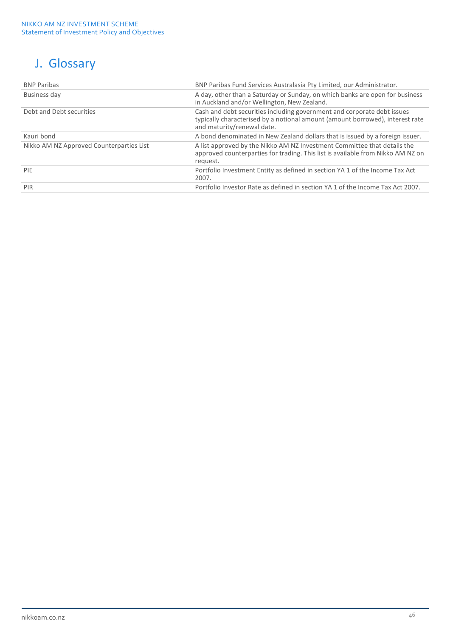# J. Glossary

| <b>BNP Paribas</b>                       | BNP Paribas Fund Services Australasia Pty Limited, our Administrator.                                                                                                                  |
|------------------------------------------|----------------------------------------------------------------------------------------------------------------------------------------------------------------------------------------|
| Business day                             | A day, other than a Saturday or Sunday, on which banks are open for business<br>in Auckland and/or Wellington, New Zealand.                                                            |
| Debt and Debt securities                 | Cash and debt securities including government and corporate debt issues<br>typically characterised by a notional amount (amount borrowed), interest rate<br>and maturity/renewal date. |
| Kauri bond                               | A bond denominated in New Zealand dollars that is issued by a foreign issuer.                                                                                                          |
| Nikko AM NZ Approved Counterparties List | A list approved by the Nikko AM NZ Investment Committee that details the<br>approved counterparties for trading. This list is available from Nikko AM NZ on<br>request.                |
| <b>PIE</b>                               | Portfolio Investment Entity as defined in section YA 1 of the Income Tax Act<br>2007.                                                                                                  |
| PIR                                      | Portfolio Investor Rate as defined in section YA 1 of the Income Tax Act 2007.                                                                                                         |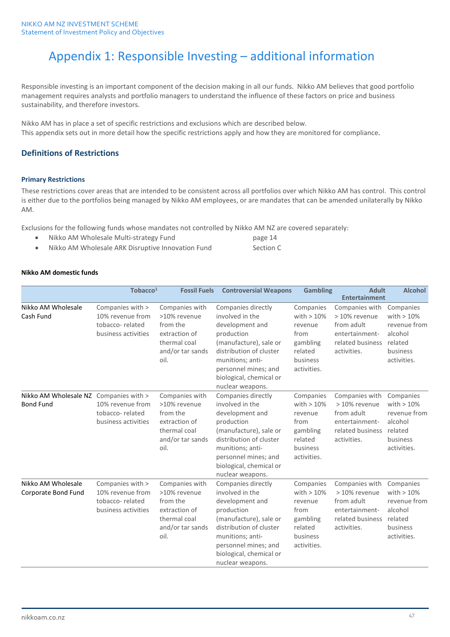# Appendix 1: Responsible Investing – additional information

Responsible investing is an important component of the decision making in all our funds. Nikko AM believes that good portfolio management requires analysts and portfolio managers to understand the influence of these factors on price and business sustainability, and therefore investors.

Nikko AM has in place a set of specific restrictions and exclusions which are described below. This appendix sets out in more detail how the specific restrictions apply and how they are monitored for compliance.

## **Definitions of Restrictions**

### **Primary Restrictions**

These restrictions cover areas that are intended to be consistent across all portfolios over which Nikko AM has control. This control is either due to the portfolios being managed by Nikko AM employees, or are mandates that can be amended unilaterally by Nikko AM.

Exclusions for the following funds whose mandates not controlled by Nikko AM NZ are covered separately:

- Nikko AM Wholesale Multi-strategy Fund page 14
- Nikko AM Wholesale ARK Disruptive Innovation Fund Section C

### **Nikko AM domestic funds**

|                                                            | Tobacco <sup>1</sup>                                                           | <b>Fossil Fuels</b>                                                                                     | <b>Controversial Weapons</b>                                                                                                                                                                                           | <b>Gambling</b>                                                                                | <b>Adult</b><br><b>Entertainment</b>                                                               | <b>Alcohol</b>                                                                             |
|------------------------------------------------------------|--------------------------------------------------------------------------------|---------------------------------------------------------------------------------------------------------|------------------------------------------------------------------------------------------------------------------------------------------------------------------------------------------------------------------------|------------------------------------------------------------------------------------------------|----------------------------------------------------------------------------------------------------|--------------------------------------------------------------------------------------------|
| Nikko AM Wholesale<br>Cash Fund                            | Companies with ><br>10% revenue from<br>tobacco-related<br>business activities | Companies with<br>>10% revenue<br>from the<br>extraction of<br>thermal coal<br>and/or tar sands<br>oil. | Companies directly<br>involved in the<br>development and<br>production<br>(manufacture), sale or<br>distribution of cluster<br>munitions; anti-<br>personnel mines; and<br>biological, chemical or<br>nuclear weapons. | Companies<br>with $>10\%$<br>revenue<br>from<br>gambling<br>related<br>business<br>activities. | Companies with<br>> 10% revenue<br>from adult<br>entertainment-<br>related business<br>activities. | Companies<br>with $>10\%$<br>revenue from<br>alcohol<br>related<br>business<br>activities. |
| Nikko AM Wholesale NZ Companies with ><br><b>Bond Fund</b> | 10% revenue from<br>tobacco-related<br>business activities                     | Companies with<br>>10% revenue<br>from the<br>extraction of<br>thermal coal<br>and/or tar sands<br>oil. | Companies directly<br>involved in the<br>development and<br>production<br>(manufacture), sale or<br>distribution of cluster<br>munitions; anti-<br>personnel mines; and<br>biological, chemical or<br>nuclear weapons. | Companies<br>with $>10\%$<br>revenue<br>from<br>gambling<br>related<br>business<br>activities. | Companies with<br>> 10% revenue<br>from adult<br>entertainment-<br>related business<br>activities. | Companies<br>with $>10\%$<br>revenue from<br>alcohol<br>related<br>business<br>activities. |
| Nikko AM Wholesale<br>Corporate Bond Fund                  | Companies with ><br>10% revenue from<br>tobacco-related<br>business activities | Companies with<br>>10% revenue<br>from the<br>extraction of<br>thermal coal<br>and/or tar sands<br>oil. | Companies directly<br>involved in the<br>development and<br>production<br>(manufacture), sale or<br>distribution of cluster<br>munitions; anti-<br>personnel mines; and<br>biological, chemical or<br>nuclear weapons. | Companies<br>with $>10\%$<br>revenue<br>from<br>gambling<br>related<br>business<br>activities. | Companies with<br>> 10% revenue<br>from adult<br>entertainment-<br>related business<br>activities. | Companies<br>with $>10\%$<br>revenue from<br>alcohol<br>related<br>business<br>activities. |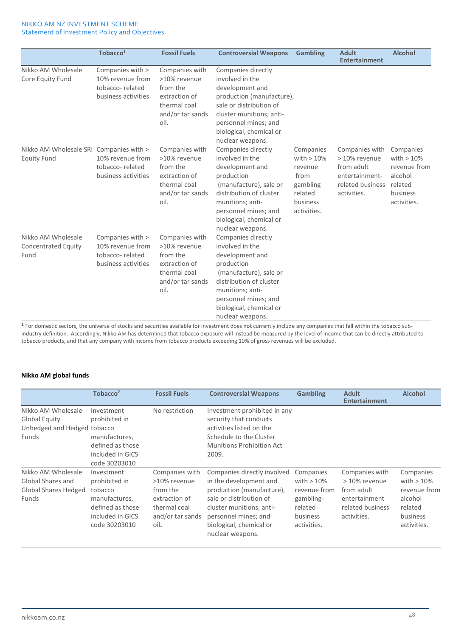|                                                               | Tobacco <sup>1</sup>                                                           | <b>Fossil Fuels</b>                                                                                     | <b>Controversial Weapons</b>                                                                                                                                                                                           | <b>Gambling</b>                                                                                | <b>Adult</b><br><b>Entertainment</b>                                                               | <b>Alcohol</b>                                                                             |
|---------------------------------------------------------------|--------------------------------------------------------------------------------|---------------------------------------------------------------------------------------------------------|------------------------------------------------------------------------------------------------------------------------------------------------------------------------------------------------------------------------|------------------------------------------------------------------------------------------------|----------------------------------------------------------------------------------------------------|--------------------------------------------------------------------------------------------|
| Nikko AM Wholesale<br>Core Equity Fund                        | Companies with ><br>10% revenue from<br>tobacco-related<br>business activities | Companies with<br>>10% revenue<br>from the<br>extraction of<br>thermal coal<br>and/or tar sands<br>oil. | Companies directly<br>involved in the<br>development and<br>production (manufacture),<br>sale or distribution of<br>cluster munitions; anti-<br>personnel mines; and<br>biological, chemical or<br>nuclear weapons.    |                                                                                                |                                                                                                    |                                                                                            |
| Nikko AM Wholesale SRI Companies with ><br><b>Equity Fund</b> | 10% revenue from<br>tobacco-related<br>business activities                     | Companies with<br>>10% revenue<br>from the<br>extraction of<br>thermal coal<br>and/or tar sands<br>oil. | Companies directly<br>involved in the<br>development and<br>production<br>(manufacture), sale or<br>distribution of cluster<br>munitions; anti-<br>personnel mines; and<br>biological, chemical or<br>nuclear weapons. | Companies<br>with $>10\%$<br>revenue<br>from<br>gambling<br>related<br>business<br>activities. | Companies with<br>> 10% revenue<br>from adult<br>entertainment-<br>related business<br>activities. | Companies<br>with $>10\%$<br>revenue from<br>alcohol<br>related<br>business<br>activities. |
| Nikko AM Wholesale<br><b>Concentrated Equity</b><br>Fund      | Companies with ><br>10% revenue from<br>tobacco-related<br>business activities | Companies with<br>>10% revenue<br>from the<br>extraction of<br>thermal coal<br>and/or tar sands<br>oil. | Companies directly<br>involved in the<br>development and<br>production<br>(manufacture), sale or<br>distribution of cluster<br>munitions; anti-<br>personnel mines; and<br>biological, chemical or<br>nuclear weapons. |                                                                                                |                                                                                                    |                                                                                            |

<sup>1</sup> For domestic sectors, the universe of stocks and securities available for investment does not currently include any companies that fall within the tobacco subindustry definition. Accordingly, Nikko AM has determined that tobacco exposure will instead be measured by the level of income that can be directly attributed to tobacco products, and that any company with income from tobacco products exceeding 10% of gross revenues will be excluded.

### **Nikko AM global funds**

|                                                                             | Tobacco <sup>2</sup>                                                                                             | <b>Fossil Fuels</b>                                                                                     | <b>Controversial Weapons</b>                                                                                                                                                                                     | <b>Gambling</b>                                                                              | <b>Adult</b><br><b>Entertainment</b>                                                              | <b>Alcohol</b>                                                                             |
|-----------------------------------------------------------------------------|------------------------------------------------------------------------------------------------------------------|---------------------------------------------------------------------------------------------------------|------------------------------------------------------------------------------------------------------------------------------------------------------------------------------------------------------------------|----------------------------------------------------------------------------------------------|---------------------------------------------------------------------------------------------------|--------------------------------------------------------------------------------------------|
| Nikko AM Wholesale<br>Global Equity<br>Unhedged and Hedged tobacco<br>Funds | Investment<br>prohibited in<br>manufactures,<br>defined as those<br>included in GICS<br>code 30203010            | No restriction                                                                                          | Investment prohibited in any<br>security that conducts<br>activities listed on the<br>Schedule to the Cluster<br>Munitions Prohibition Act<br>2009.                                                              |                                                                                              |                                                                                                   |                                                                                            |
| Nikko AM Wholesale<br>Global Shares and<br>Global Shares Hedged<br>Funds    | Investment<br>prohibited in<br>tobacco<br>manufactures,<br>defined as those<br>included in GICS<br>code 30203010 | Companies with<br>>10% revenue<br>from the<br>extraction of<br>thermal coal<br>and/or tar sands<br>oil. | Companies directly involved<br>in the development and<br>production (manufacture),<br>sale or distribution of<br>cluster munitions; anti-<br>personnel mines; and<br>biological, chemical or<br>nuclear weapons. | Companies<br>with $>10\%$<br>revenue from<br>gambling-<br>related<br>business<br>activities. | Companies with<br>> 10% revenue<br>from adult<br>entertainment<br>related business<br>activities. | Companies<br>with $>10\%$<br>revenue from<br>alcohol<br>related<br>business<br>activities. |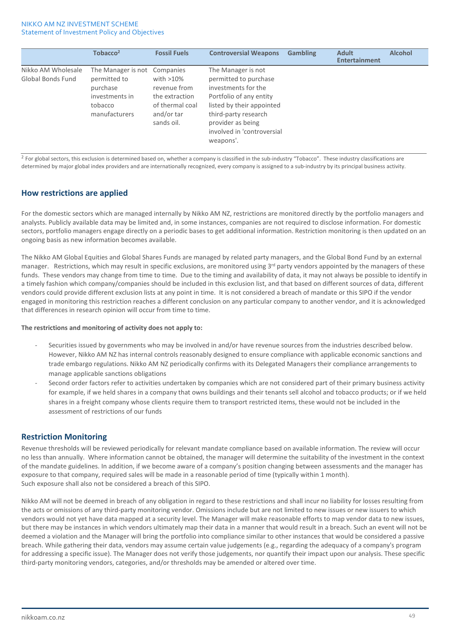|                                         | Tobacco <sup>2</sup>                                                                                   | <b>Fossil Fuels</b>                                                                           | <b>Controversial Weapons</b>                                                                                                                                                                                       | <b>Gambling</b> | <b>Adult</b><br><b>Entertainment</b> | <b>Alcohol</b> |
|-----------------------------------------|--------------------------------------------------------------------------------------------------------|-----------------------------------------------------------------------------------------------|--------------------------------------------------------------------------------------------------------------------------------------------------------------------------------------------------------------------|-----------------|--------------------------------------|----------------|
| Nikko AM Wholesale<br>Global Bonds Fund | The Manager is not Companies<br>permitted to<br>purchase<br>investments in<br>tobacco<br>manufacturers | with $>10\%$<br>revenue from<br>the extraction<br>of thermal coal<br>and/or tar<br>sands oil. | The Manager is not<br>permitted to purchase<br>investments for the<br>Portfolio of any entity<br>listed by their appointed<br>third-party research<br>provider as being<br>involved in 'controversial<br>weapons'. |                 |                                      |                |

 $2$  For global sectors, this exclusion is determined based on, whether a company is classified in the sub-industry "Tobacco". These industry classifications are determined by major global index providers and are internationally recognized, every company is assigned to a sub-industry by its principal business activity.

## **How restrictions are applied**

For the domestic sectors which are managed internally by Nikko AM NZ, restrictions are monitored directly by the portfolio managers and analysts. Publicly available data may be limited and, in some instances, companies are not required to disclose information. For domestic sectors, portfolio managers engage directly on a periodic bases to get additional information. Restriction monitoring is then updated on an ongoing basis as new information becomes available.

The Nikko AM Global Equities and Global Shares Funds are managed by related party managers, and the Global Bond Fund by an external manager. Restrictions, which may result in specific exclusions, are monitored using 3<sup>rd</sup> party vendors appointed by the managers of these funds. These vendors may change from time to time. Due to the timing and availability of data, it may not always be possible to identify in a timely fashion which company/companies should be included in this exclusion list, and that based on different sources of data, different vendors could provide different exclusion lists at any point in time. It is not considered a breach of mandate or this SIPO if the vendor engaged in monitoring this restriction reaches a different conclusion on any particular company to another vendor, and it is acknowledged that differences in research opinion will occur from time to time.

#### **The restrictions and monitoring of activity does not apply to:**

- Securities issued by governments who may be involved in and/or have revenue sources from the industries described below. However, Nikko AM NZ has internal controls reasonably designed to ensure compliance with applicable economic sanctions and trade embargo regulations. Nikko AM NZ periodically confirms with its Delegated Managers their compliance arrangements to manage applicable sanctions obligations
- Second order factors refer to activities undertaken by companies which are not considered part of their primary business activity for example, if we held shares in a company that owns buildings and their tenants sell alcohol and tobacco products; or if we held shares in a freight company whose clients require them to transport restricted items, these would not be included in the assessment of restrictions of our funds

## **Restriction Monitoring**

Revenue thresholds will be reviewed periodically for relevant mandate compliance based on available information. The review will occur no less than annually. Where information cannot be obtained, the manager will determine the suitability of the investment in the context of the mandate guidelines. In addition, if we become aware of a company's position changing between assessments and the manager has exposure to that company, required sales will be made in a reasonable period of time (typically within 1 month). Such exposure shall also not be considered a breach of this SIPO.

Nikko AM will not be deemed in breach of any obligation in regard to these restrictions and shall incur no liability for losses resulting from the acts or omissions of any third-party monitoring vendor. Omissions include but are not limited to new issues or new issuers to which vendors would not yet have data mapped at a security level. The Manager will make reasonable efforts to map vendor data to new issues, but there may be instances in which vendors ultimately map their data in a manner that would result in a breach. Such an event will not be deemed a violation and the Manager will bring the portfolio into compliance similar to other instances that would be considered a passive breach. While gathering their data, vendors may assume certain value judgements (e.g., regarding the adequacy of a company's program for addressing a specific issue). The Manager does not verify those judgements, nor quantify their impact upon our analysis. These specific third-party monitoring vendors, categories, and/or thresholds may be amended or altered over time.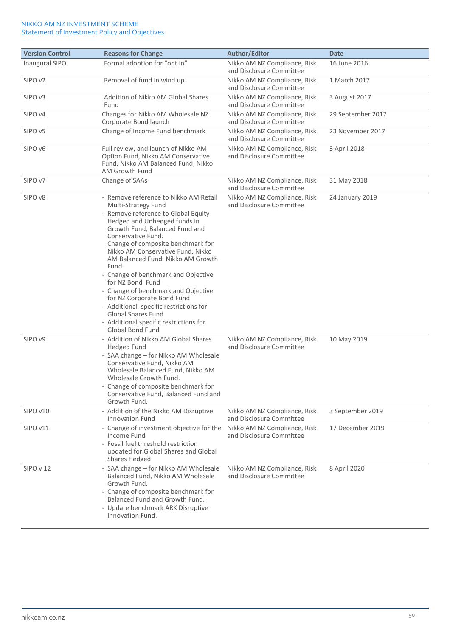| <b>Version Control</b> | <b>Reasons for Change</b>                                                                                                                                                                                                                                                                                                                                                                                                                                                                                                                                                                       | Author/Editor                                            | <b>Date</b>       |
|------------------------|-------------------------------------------------------------------------------------------------------------------------------------------------------------------------------------------------------------------------------------------------------------------------------------------------------------------------------------------------------------------------------------------------------------------------------------------------------------------------------------------------------------------------------------------------------------------------------------------------|----------------------------------------------------------|-------------------|
| Inaugural SIPO         | Formal adoption for "opt in"                                                                                                                                                                                                                                                                                                                                                                                                                                                                                                                                                                    | Nikko AM NZ Compliance, Risk<br>and Disclosure Committee | 16 June 2016      |
| SIPO <sub>v2</sub>     | Removal of fund in wind up                                                                                                                                                                                                                                                                                                                                                                                                                                                                                                                                                                      | Nikko AM NZ Compliance, Risk<br>and Disclosure Committee | 1 March 2017      |
| SIPO <sub>v3</sub>     | Addition of Nikko AM Global Shares<br>Fund                                                                                                                                                                                                                                                                                                                                                                                                                                                                                                                                                      | Nikko AM NZ Compliance, Risk<br>and Disclosure Committee | 3 August 2017     |
| SIPO v4                | Changes for Nikko AM Wholesale NZ<br>Corporate Bond launch                                                                                                                                                                                                                                                                                                                                                                                                                                                                                                                                      | Nikko AM NZ Compliance, Risk<br>and Disclosure Committee | 29 September 2017 |
| SIPO <sub>v5</sub>     | Change of Income Fund benchmark                                                                                                                                                                                                                                                                                                                                                                                                                                                                                                                                                                 | Nikko AM NZ Compliance, Risk<br>and Disclosure Committee | 23 November 2017  |
| SIPO v6                | Full review, and launch of Nikko AM<br>Option Fund, Nikko AM Conservative<br>Fund, Nikko AM Balanced Fund, Nikko<br><b>AM Growth Fund</b>                                                                                                                                                                                                                                                                                                                                                                                                                                                       | Nikko AM NZ Compliance, Risk<br>and Disclosure Committee | 3 April 2018      |
| SIPO v7                | Change of SAAs                                                                                                                                                                                                                                                                                                                                                                                                                                                                                                                                                                                  | Nikko AM NZ Compliance, Risk<br>and Disclosure Committee | 31 May 2018       |
| SIPO v8                | - Remove reference to Nikko AM Retail<br>Multi-Strategy Fund<br>- Remove reference to Global Equity<br>Hedged and Unhedged funds in<br>Growth Fund, Balanced Fund and<br>Conservative Fund.<br>Change of composite benchmark for<br>Nikko AM Conservative Fund, Nikko<br>AM Balanced Fund, Nikko AM Growth<br>Fund.<br>- Change of benchmark and Objective<br>for NZ Bond Fund<br>- Change of benchmark and Objective<br>for NZ Corporate Bond Fund<br>- Additional specific restrictions for<br><b>Global Shares Fund</b><br>- Additional specific restrictions for<br><b>Global Bond Fund</b> | Nikko AM NZ Compliance, Risk<br>and Disclosure Committee | 24 January 2019   |
| SIPO v9                | - Addition of Nikko AM Global Shares<br><b>Hedged Fund</b><br>- SAA change - for Nikko AM Wholesale<br>Conservative Fund, Nikko AM<br>Wholesale Balanced Fund, Nikko AM<br>Wholesale Growth Fund.<br>- Change of composite benchmark for<br>Conservative Fund, Balanced Fund and<br>Growth Fund.                                                                                                                                                                                                                                                                                                | Nikko AM NZ Compliance, Risk<br>and Disclosure Committee | 10 May 2019       |
| SIPO v10               | - Addition of the Nikko AM Disruptive<br><b>Innovation Fund</b>                                                                                                                                                                                                                                                                                                                                                                                                                                                                                                                                 | Nikko AM NZ Compliance, Risk<br>and Disclosure Committee | 3 September 2019  |
| SIPO v11               | - Change of investment objective for the<br>Income Fund<br>- Fossil fuel threshold restriction<br>updated for Global Shares and Global<br>Shares Hedged                                                                                                                                                                                                                                                                                                                                                                                                                                         | Nikko AM NZ Compliance, Risk<br>and Disclosure Committee | 17 December 2019  |
| SIPO v 12              | - SAA change - for Nikko AM Wholesale<br>Balanced Fund, Nikko AM Wholesale<br>Growth Fund.<br>- Change of composite benchmark for<br>Balanced Fund and Growth Fund.<br>- Update benchmark ARK Disruptive<br>Innovation Fund.                                                                                                                                                                                                                                                                                                                                                                    | Nikko AM NZ Compliance, Risk<br>and Disclosure Committee | 8 April 2020      |